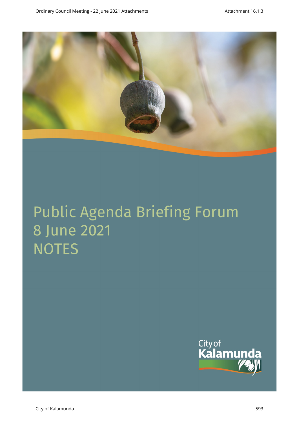

# Public Agenda Briefing Forum 8 June 2021 **NOTES**

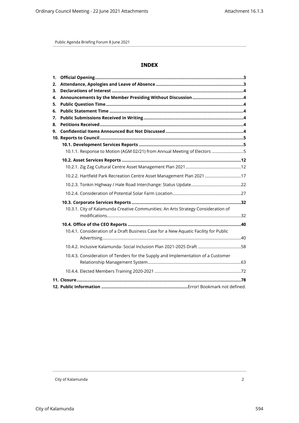# **INDEX**

| 1. |                                                                                      |  |
|----|--------------------------------------------------------------------------------------|--|
| 2. |                                                                                      |  |
| 3. |                                                                                      |  |
| 4. |                                                                                      |  |
| 5. |                                                                                      |  |
| 6. |                                                                                      |  |
| 7. |                                                                                      |  |
| 8. |                                                                                      |  |
| 9. |                                                                                      |  |
|    |                                                                                      |  |
|    | 10.1.1. Response to Motion (AGM 02/21) from Annual Meeting of Electors 5             |  |
|    |                                                                                      |  |
|    |                                                                                      |  |
|    | 10.2.2. Hartfield Park Recreation Centre Asset Management Plan 2021 17               |  |
|    |                                                                                      |  |
|    |                                                                                      |  |
|    |                                                                                      |  |
|    | 10.3.1. City of Kalamunda Creative Communities: An Arts Strategy Consideration of    |  |
|    |                                                                                      |  |
|    |                                                                                      |  |
|    | 10.4.1. Consideration of a Draft Business Case for a New Aquatic Facility for Public |  |
|    |                                                                                      |  |
|    | 10.4.3. Consideration of Tenders for the Supply and Implementation of a Customer     |  |
|    |                                                                                      |  |
|    |                                                                                      |  |
|    |                                                                                      |  |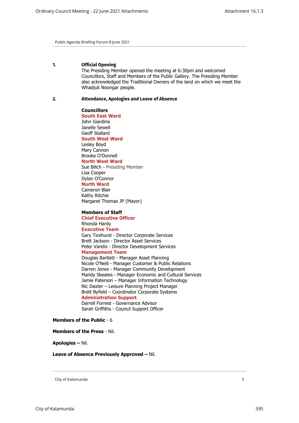#### <span id="page-2-1"></span><span id="page-2-0"></span>**1. Official Opening**

The Presiding Member opened the meeting at 6:30pm and welcomed Councillors, Staff and Members of the Public Gallery. The Presiding Member also acknowledged the Traditional Owners of the land on which we meet the Whadjuk Noongar people.

#### **2. Attendance, Apologies and Leave of Absence**

**Councillors South East Ward**  John Giardina Janelle Sewell Geoff Stallard **South West Ward** Lesley Boyd Mary Cannon Brooke O'Donnell **North West Ward** Sue Bilich - Presiding Member Lisa Cooper Dylan O'Connor **North Ward** Cameron Blair Kathy Ritchie

Margaret Thomas JP (Mayor)

## **Members of Staff**

**Chief Executive Officer** Rhonda Hardy **Executive Team** Gary Ticehurst - Director Corporate Services Brett Jackson - Director Asset Services Peter Varelis - Director Development Services **Management Team** Douglas Bartlett - Manager Asset Planning Nicole O'Neill - Manager Customer & Public Relations Darren Jones - Manager Community Development Mandy Skeates - Manager Economic and Cultural Services Jamie Paterson – Manager Information Technology Nic Daxter – Leisure Planning Project Manager Brett Byfield – Coordinator Corporate Systems **Administration Support**

Darrell Forrest - Governance Advisor Sarah Griffiths - Council Support Officer

#### **Members of the Public** - 6

**Members of the Press** - Nil.

**Apologies –** Nil.

#### **Leave of Absence Previously Approved –** Nil.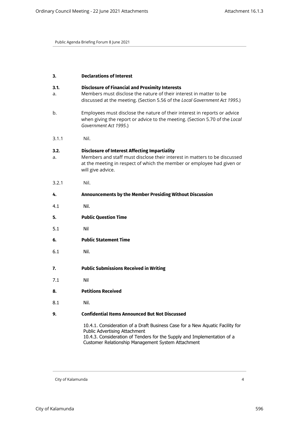<span id="page-3-4"></span><span id="page-3-3"></span><span id="page-3-2"></span><span id="page-3-1"></span><span id="page-3-0"></span>

| 3.         | <b>Declarations of Interest</b>                                                                                                                                                                                                                 |
|------------|-------------------------------------------------------------------------------------------------------------------------------------------------------------------------------------------------------------------------------------------------|
| 3.1.<br>a. | <b>Disclosure of Financial and Proximity Interests</b><br>Members must disclose the nature of their interest in matter to be<br>discussed at the meeting. (Section 5.56 of the Local Government Act 1995.)                                      |
| b.         | Employees must disclose the nature of their interest in reports or advice<br>when giving the report or advice to the meeting. (Section 5.70 of the Local<br>Government Act 1995.)                                                               |
| 3.1.1      | Nil.                                                                                                                                                                                                                                            |
| 3.2.<br>a. | <b>Disclosure of Interest Affecting Impartiality</b><br>Members and staff must disclose their interest in matters to be discussed<br>at the meeting in respect of which the member or employee had given or<br>will give advice.                |
| 3.2.1      | Nil.                                                                                                                                                                                                                                            |
| 4.         | Announcements by the Member Presiding Without Discussion                                                                                                                                                                                        |
| 4.1        | Nil.                                                                                                                                                                                                                                            |
| 5.         | <b>Public Question Time</b>                                                                                                                                                                                                                     |
| 5.1        | Nil                                                                                                                                                                                                                                             |
| 6.         | <b>Public Statement Time</b>                                                                                                                                                                                                                    |
| 6.1        | Nil.                                                                                                                                                                                                                                            |
| 7.         | <b>Public Submissions Received in Writing</b>                                                                                                                                                                                                   |
| 7.1        | Nil                                                                                                                                                                                                                                             |
| 8.         | <b>Petitions Received</b>                                                                                                                                                                                                                       |
| 8.1        | Nil.                                                                                                                                                                                                                                            |
| 9.         | <b>Confidential Items Announced But Not Discussed</b>                                                                                                                                                                                           |
|            | 10.4.1. Consideration of a Draft Business Case for a New Aquatic Facility for<br>Public Advertising Attachment<br>10.4.3. Consideration of Tenders for the Supply and Implementation of a<br>Customer Relationship Management System Attachment |

<span id="page-3-6"></span><span id="page-3-5"></span>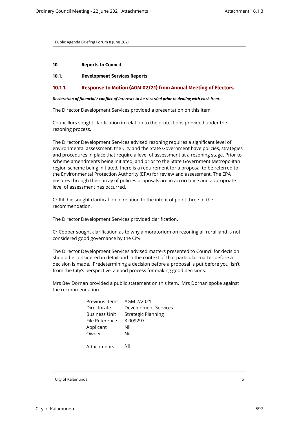#### <span id="page-4-2"></span><span id="page-4-1"></span><span id="page-4-0"></span>**10. Reports to Council**

#### **10.1. Development Services Reports**

## **10.1.1. Response to Motion (AGM 02/21) from Annual Meeting of Electors**

#### *Declaration of financial / conflict of interests to be recorded prior to dealing with each item.*

The Director Development Services provided a presentation on this item.

Councillors sought clarification in relation to the protections provided under the rezoning process.

The Director Development Services advised rezoning requires a significant level of environmental assessment, the City and the State Government have policies, strategies and procedures in place that require a level of assessment at a rezoning stage. Prior to scheme amendments being initiated, and prior to the State Government Metropolitan region scheme being initiated, there is a requirement for a proposal to be referred to the Environmental Protection Authority (EPA) for review and assessment. The EPA ensures through their array of policies proposals are in accordance and appropriate level of assessment has occurred.

Cr Ritchie sought clarification in relation to the intent of point three of the recommendation.

The Director Development Services provided clarification.

Cr Cooper sought clarification as to why a moratorium on rezoning all rural land is not considered good governance by the City.

The Director Development Services advised matters presented to Council for decision should be considered in detail and in the context of that particular matter before a decision is made. Predetermining a decision before a proposal is put before you, isn't from the City's perspective, a good process for making good decisions.

Mrs Bev Dornan provided a public statement on this item. Mrs Dornan spoke against the recommendation.

| Previous Items       | AGM 2/2021                |
|----------------------|---------------------------|
| Directorate          | Development Services      |
| <b>Business Unit</b> | <b>Strategic Planning</b> |
| File Reference       | 3.009297                  |
| Applicant            | Nil.                      |
| Owner                | Nil.                      |
|                      |                           |

Attachments Nil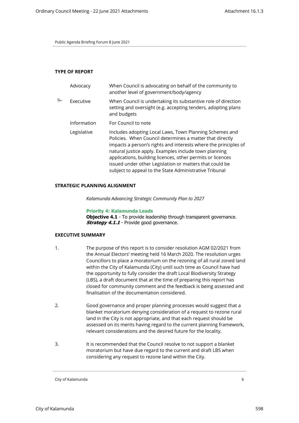#### **TYPE OF REPORT**

|                  | Advocacy    | When Council is advocating on behalf of the community to<br>another level of government/body/agency                                                                                                                                                                                                                                                                                                                                |
|------------------|-------------|------------------------------------------------------------------------------------------------------------------------------------------------------------------------------------------------------------------------------------------------------------------------------------------------------------------------------------------------------------------------------------------------------------------------------------|
| $\triangleright$ | Executive   | When Council is undertaking its substantive role of direction<br>setting and oversight (e.g. accepting tenders, adopting plans<br>and budgets                                                                                                                                                                                                                                                                                      |
|                  | Information | For Council to note                                                                                                                                                                                                                                                                                                                                                                                                                |
|                  | Legislative | Includes adopting Local Laws, Town Planning Schemes and<br>Policies. When Council determines a matter that directly<br>impacts a person's rights and interests where the principles of<br>natural justice apply. Examples include town planning<br>applications, building licences, other permits or licences<br>issued under other Legislation or matters that could be<br>subject to appeal to the State Administrative Tribunal |

#### **STRATEGIC PLANNING ALIGNMENT**

*Kalamunda Advancing Strategic Community Plan to 2027*

**Priority 4: Kalamunda Leads Objective 4.1** - To provide leadership through transparent governance. **Strategy 4.1.1** - Provide good governance.

#### **EXECUTIVE SUMMARY**

- 1. The purpose of this report is to consider resolution AGM 02/2021 from the Annual Electors' meeting held 16 March 2020. The resolution urges Councillors to place a moratorium on the rezoning of all rural zoned land within the City of Kalamunda (City) until such time as Council have had the opportunity to fully consider the draft Local Biodiversity Strategy (LBS), a draft document that at the time of preparing this report has closed for community comment and the feedback is being assessed and finalisation of the documentation considered.
- 2. Good governance and proper planning processes would suggest that a blanket moratorium denying consideration of a request to rezone rural land in the City is not appropriate, and that each request should be assessed on its merits having regard to the current planning framework, relevant considerations and the desired future for the locality.
- 3. It is recommended that the Council resolve to not support a blanket moratorium but have due regard to the current and draft LBS when considering any request to rezone land within the City.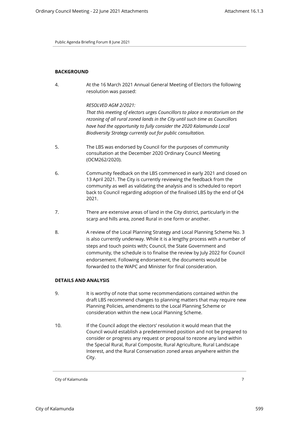## **BACKGROUND**

4. At the 16 March 2021 Annual General Meeting of Electors the following resolution was passed:

*RESOLVED AGM 2/2021:* 

*That this meeting of electors urges Councillors to place a moratorium on the rezoning of all rural zoned lands in the City until such time as Councillors have had the opportunity to fully consider the 2020 Kalamunda Local Biodiversity Strategy currently out for public consultation.*

- 5. The LBS was endorsed by Council for the purposes of community consultation at the December 2020 Ordinary Council Meeting (OCM262/2020).
- 6. Community feedback on the LBS commenced in early 2021 and closed on 13 April 2021. The City is currently reviewing the feedback from the community as well as validating the analysis and is scheduled to report back to Council regarding adoption of the finalised LBS by the end of Q4 2021.
- 7. There are extensive areas of land in the City district, particularly in the scarp and hills area, zoned Rural in one form or another.
- 8. A review of the Local Planning Strategy and Local Planning Scheme No. 3 is also currently underway. While it is a lengthy process with a number of steps and touch points with; Council, the State Government and community, the schedule is to finalise the review by July 2022 for Council endorsement. Following endorsement, the documents would be forwarded to the WAPC and Minister for final consideration.

## **DETAILS AND ANALYSIS**

- 9. It is worthy of note that some recommendations contained within the draft LBS recommend changes to planning matters that may require new Planning Policies, amendments to the Local Planning Scheme or consideration within the new Local Planning Scheme.
- 10. If the Council adopt the electors' resolution it would mean that the Council would establish a predetermined position and not be prepared to consider or progress any request or proposal to rezone any land within the Special Rural, Rural Composite, Rural Agriculture, Rural Landscape Interest, and the Rural Conservation zoned areas anywhere within the City.

City of Kalamunda 7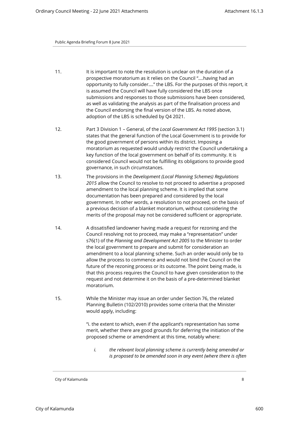- 11. It is important to note the resolution is unclear on the duration of a prospective moratorium as it relies on the Council "….having had an opportunity to fully consider…." the LBS. For the purposes of this report, it is assumed the Council will have fully considered the LBS once submissions and responses to those submissions have been considered, as well as validating the analysis as part of the finalisation process and the Council endorsing the final version of the LBS. As noted above, adoption of the LBS is scheduled by Q4 2021.
- 12. Part 3 Division 1 General, of the *Local Government Act 1995* (section 3.1) states that the general function of the Local Government is to provide for the good government of persons within its district. Imposing a moratorium as requested would unduly restrict the Council undertaking a key function of the local government on behalf of its community. It is considered Council would not be fulfilling its obligations to provide good governance, in such circumstances.
- 13. The provisions in the *Development (Local Planning Schemes) Regulations 2015* allow the Council to resolve to not proceed to advertise a proposed amendment to the local planning scheme. It is implied that some documentation has been prepared and considered by the local government. In other words, a resolution to not proceed, on the basis of a previous decision of a blanket moratorium, without considering the merits of the proposal may not be considered sufficient or appropriate.
- 14. A dissatisfied landowner having made a request for rezoning and the Council resolving not to proceed, may make a "representation" under s76(1) of the *Planning and Development Act 2005* to the Minister to order the local government to prepare and submit for consideration an amendment to a local planning scheme. Such an order would only be to allow the process to commence and would not bind the Council on the future of the rezoning process or its outcome. The point being made, is that this process requires the Council to have given consideration to the request and not determine it on the basis of a pre-determined blanket moratorium.
- 15. While the Minister may issue an order under Section 76, the related Planning Bulletin (102/2010) provides some criteria that the Minister would apply, including:

"i. the extent to which, even if the applicant's representation has some merit, whether there are good grounds for deferring the initiation of the proposed scheme or amendment at this time, notably where:

*i. the relevant local planning scheme is currently being amended or is proposed to be amended soon in any event (where there is often*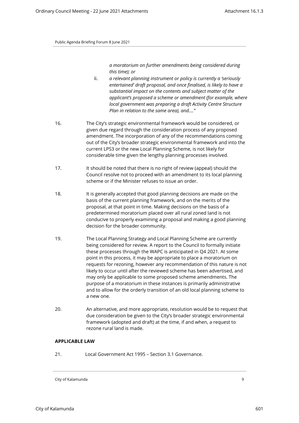*a moratorium on further amendments being considered during this time); or*

- ii. *a relevant planning instrument or policy is currently a 'seriously entertained' draft proposal, and once finalised, is likely to have a substantial impact on the contents and subject matter of the applicant's proposed a scheme or amendment (for example, where local government was preparing a draft Activity Centre Structure Plan in relation to the same area), and…."*
- 16. The City's strategic environmental framework would be considered, or given due regard through the consideration process of any proposed amendment. The incorporation of any of the recommendations coming out of the City's broader strategic environmental framework and into the current LPS3 or the new Local Planning Scheme, is not likely for considerable time given the lengthy planning processes involved.
- 17. It should be noted that there is no right of review (appeal) should the Council resolve not to proceed with an amendment to its local planning scheme or if the Minister refuses to issue an order.
- 18. It is generally accepted that good planning decisions are made on the basis of the current planning framework, and on the merits of the proposal, at that point in time. Making decisions on the basis of a predetermined moratorium placed over all rural zoned land is not conducive to properly examining a proposal and making a good planning decision for the broader community.
- 19. The Local Planning Strategy and Local Planning Scheme are currently being considered for review. A report to the Council to formally initiate these processes through the WAPC is anticipated in Q4 2021. At some point in this process, it may be appropriate to place a moratorium on requests for rezoning, however any recommendation of this nature is not likely to occur until after the reviewed scheme has been advertised, and may only be applicable to some proposed scheme amendments. The purpose of a moratorium in these instances is primarily administrative and to allow for the orderly transition of an old local planning scheme to a new one.
- 20. An alternative, and more appropriate, resolution would be to request that due consideration be given to the City's broader strategic environmental framework (adopted and draft) at the time, if and when, a request to rezone rural land is made.

# **APPLICABLE LAW**

21. Local Government Act 1995 – Section 3.1 Governance.

City of Kalamunda 9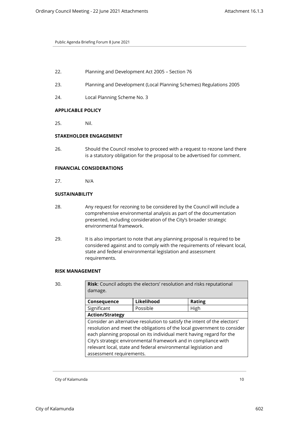- 22. Planning and Development Act 2005 Section 76
- 23. Planning and Development (Local Planning Schemes) Regulations 2005
- 24. Local Planning Scheme No. 3

## **APPLICABLE POLICY**

25. Nil.

# **STAKEHOLDER ENGAGEMENT**

26. Should the Council resolve to proceed with a request to rezone land there is a statutory obligation for the proposal to be advertised for comment.

# **FINANCIAL CONSIDERATIONS**

27. N/A

## **SUSTAINABILITY**

- 28. Any request for rezoning to be considered by the Council will include a comprehensive environmental analysis as part of the documentation presented, including consideration of the City's broader strategic environmental framework.
- 29. It is also important to note that any planning proposal is required to be considered against and to comply with the requirements of relevant local, state and federal environmental legislation and assessment requirements.

## **RISK MANAGEMENT**

| 30. | damage.                                                                                                                                                                                                                                                                                                                                                                                        | <b>Risk:</b> Council adopts the electors' resolution and risks reputational |               |
|-----|------------------------------------------------------------------------------------------------------------------------------------------------------------------------------------------------------------------------------------------------------------------------------------------------------------------------------------------------------------------------------------------------|-----------------------------------------------------------------------------|---------------|
|     | Consequence                                                                                                                                                                                                                                                                                                                                                                                    | Likelihood                                                                  | <b>Rating</b> |
|     | Significant                                                                                                                                                                                                                                                                                                                                                                                    | Possible                                                                    | High          |
|     | <b>Action/Strategy</b>                                                                                                                                                                                                                                                                                                                                                                         |                                                                             |               |
|     | Consider an alternative resolution to satisfy the intent of the electors'<br>resolution and meet the obligations of the local government to consider<br>each planning proposal on its individual merit having regard for the<br>City's strategic environmental framework and in compliance with<br>relevant local, state and federal environmental legislation and<br>assessment requirements. |                                                                             |               |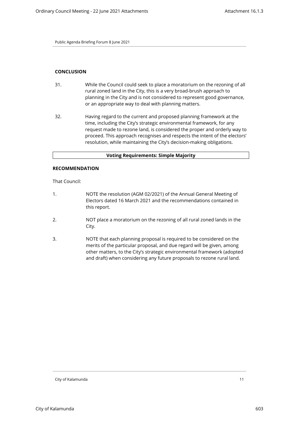#### **CONCLUSION**

- 31. While the Council could seek to place a moratorium on the rezoning of all rural zoned land in the City, this is a very broad-brush approach to planning in the City and is not considered to represent good governance, or an appropriate way to deal with planning matters.
- 32. Having regard to the current and proposed planning framework at the time, including the City's strategic environmental framework, for any request made to rezone land, is considered the proper and orderly way to proceed. This approach recognises and respects the intent of the electors' resolution, while maintaining the City's decision-making obligations.

#### **Voting Requirements: Simple Majority**

#### **RECOMMENDATION**

That Council:

- 1. NOTE the resolution (AGM 02/2021) of the Annual General Meeting of Electors dated 16 March 2021 and the recommendations contained in this report.
- 2. NOT place a moratorium on the rezoning of all rural zoned lands in the City.
- 3. NOTE that each planning proposal is required to be considered on the merits of the particular proposal, and due regard will be given, among other matters, to the City's strategic environmental framework (adopted and draft) when considering any future proposals to rezone rural land.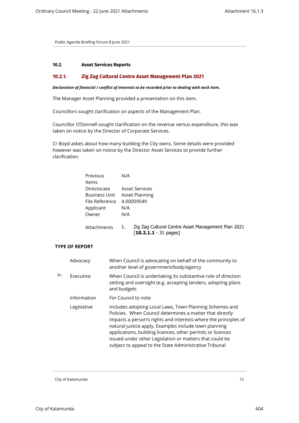## <span id="page-11-1"></span><span id="page-11-0"></span>**10.2. Asset Services Reports**

# **10.2.1. Zig Zag Cultural Centre Asset Management Plan 2021**

#### *Declaration of financial / conflict of interests to be recorded prior to dealing with each item.*

The Manager Asset Planning provided a presentation on this item.

Councillors sought clarification on aspects of the Management Plan.

Councillor O'Donnell sought clarification on the revenue versus expenditure, this was taken on notice by the Director of Corporate Services.

Cr Boyd askes about how many building the City owns. Some details were provided however was taken on notice by the Director Asset Services to provide further clarification.

| Previous       | N/A                                                                                                     |
|----------------|---------------------------------------------------------------------------------------------------------|
| Items          |                                                                                                         |
| Directorate    | <b>Asset Services</b>                                                                                   |
| Business Unit  | <b>Asset Planning</b>                                                                                   |
| File Reference | 4.00009549                                                                                              |
| Applicant      | N/A                                                                                                     |
| Owner          | N/A                                                                                                     |
| Attachments    | Zig Zag Cultural Centre Asset Management Plan 2021<br>1.<br>$\lceil 10.2.1.1 - 31 \text{ pages} \rceil$ |

## **TYPE OF REPORT**

|   | Advocacy    | When Council is advocating on behalf of the community to<br>another level of government/body/agency                                                                                                                                                                                                                                                                                                                                |
|---|-------------|------------------------------------------------------------------------------------------------------------------------------------------------------------------------------------------------------------------------------------------------------------------------------------------------------------------------------------------------------------------------------------------------------------------------------------|
| B | Executive   | When Council is undertaking its substantive role of direction<br>setting and oversight (e.g. accepting tenders, adopting plans<br>and budgets                                                                                                                                                                                                                                                                                      |
|   | Information | For Council to note                                                                                                                                                                                                                                                                                                                                                                                                                |
|   | Legislative | Includes adopting Local Laws, Town Planning Schemes and<br>Policies. When Council determines a matter that directly<br>impacts a person's rights and interests where the principles of<br>natural justice apply. Examples include town planning<br>applications, building licences, other permits or licences<br>issued under other Legislation or matters that could be<br>subject to appeal to the State Administrative Tribunal |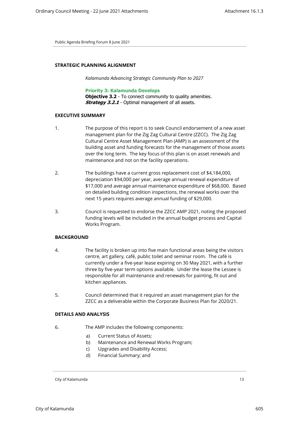## **STRATEGIC PLANNING ALIGNMENT**

*Kalamunda Advancing Strategic Community Plan to 2027*

#### **Priority 3: Kalamunda Develops**

**Objective 3.2** - To connect community to quality amenities. *Strategy 3.2.1* - Optimal management of all assets.

## **EXECUTIVE SUMMARY**

- 1. The purpose of this report is to seek Council endorsement of a new asset management plan for the Zig Zag Cultural Centre (ZZCC). The Zig Zag Cultural Centre Asset Management Plan (AMP) is an assessment of the building asset and funding forecasts for the management of those assets over the long term. The key focus of this plan is on asset renewals and maintenance and not on the facility operations.
- 2. The buildings have a current gross replacement cost of \$4,184,000, depreciation \$94,000 per year, average annual renewal expenditure of \$17,000 and average annual maintenance expenditure of \$68,000. Based on detailed building condition inspections, the renewal works over the next 15 years requires average annual funding of \$29,000.
- 3. Council is requested to endorse the ZZCC AMP 2021, noting the proposed funding levels will be included in the annual budget process and Capital Works Program.

## **BACKGROUND**

- 4. The facility is broken up into five main functional areas being the visitors centre, art gallery, café, public toilet and seminar room. The café is currently under a five-year lease expiring on 30 May 2021, with a further three by five-year term options available. Under the lease the Lessee is responsible for all maintenance and renewals for painting, fit out and kitchen appliances.
- 5. Council determined that it required an asset management plan for the ZZCC as a deliverable within the Corporate Business Plan for 2020/21.

## **DETAILS AND ANALYSIS**

- 6. The AMP includes the following components:
	- a) Current Status of Assets;
	- b) Maintenance and Renewal Works Program;
	- c) Upgrades and Disability Access;
	- d) Financial Summary; and

City of Kalamunda 13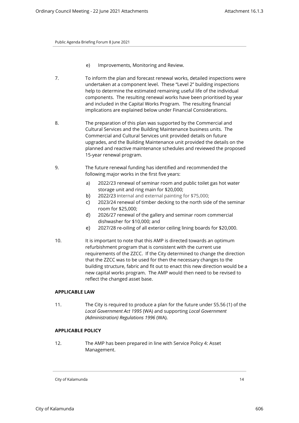- e) Improvements, Monitoring and Review.
- 7. To inform the plan and forecast renewal works, detailed inspections were undertaken at a component level. These "Level 2" building inspections help to determine the estimated remaining useful life of the individual components. The resulting renewal works have been prioritised by year and included in the Capital Works Program. The resulting financial implications are explained below under Financial Considerations.
- 8. The preparation of this plan was supported by the Commercial and Cultural Services and the Building Maintenance business units. The Commercial and Cultural Services unit provided details on future upgrades, and the Building Maintenance unit provided the details on the planned and reactive maintenance schedules and reviewed the proposed 15-year renewal program.
- 9. The future renewal funding has identified and recommended the following major works in the first five years:
	- a) 2022/23 renewal of seminar room and public toilet gas hot water storage unit and ring main for \$20,000;
	- b) 2022/23 internal and external painting for \$75,000;
	- c) 2023/24 renewal of timber decking to the north side of the seminar room for \$25,000;
	- d) 2026/27 renewal of the gallery and seminar room commercial dishwasher for \$10,000; and
	- e) 2027/28 re-oiling of all exterior ceiling lining boards for \$20,000.
- 10. It is important to note that this AMP is directed towards an optimum refurbishment program that is consistent with the current use requirements of the ZZCC. If the City determined to change the direction that the ZZCC was to be used for then the necessary changes to the building structure, fabric and fit out to enact this new direction would be a new capital works program. The AMP would then need to be revised to reflect the changed asset base.

# **APPLICABLE LAW**

11. The City is required to produce a plan for the future under S5.56 (1) of the *Local Government Act 1995* (WA) and supporting *Local Government (Administration) Regulations 1996* (WA).

# **APPLICABLE POLICY**

12. The AMP has been prepared in line with Service Policy 4: Asset Management.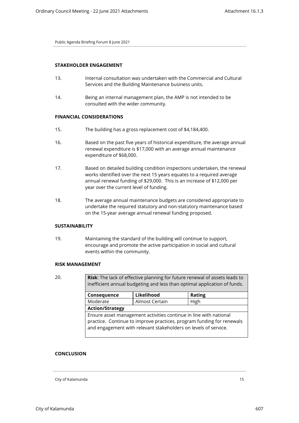#### **STAKEHOLDER ENGAGEMENT**

- 13. Internal consultation was undertaken with the Commercial and Cultural Services and the Building Maintenance business units.
- 14. Being an internal management plan, the AMP is not intended to be consulted with the wider community.

## **FINANCIAL CONSIDERATIONS**

- 15. The building has a gross replacement cost of \$4,184,400.
- 16. Based on the past five years of historical expenditure, the average annual renewal expenditure is \$17,000 with an average annual maintenance expenditure of \$68,000.
- 17. Based on detailed building condition inspections undertaken, the renewal works identified over the next 15 years equates to a required average annual renewal funding of \$29,000. This is an increase of \$12,000 per year over the current level of funding.
- 18. The average annual maintenance budgets are considered appropriate to undertake the required statutory and non-statutory maintenance based on the 15-year average annual renewal funding proposed.

#### **SUSTAINABILITY**

19. Maintaining the standard of the building will continue to support, encourage and promote the active participation in social and cultural events within the community.

#### **RISK MANAGEMENT**

20. **Risk**: The lack of effective planning for future renewal of assets leads to inefficient annual budgeting and less than optimal application of funds.

| Consequence                                                           | Likelihood     | <b>Rating</b> |
|-----------------------------------------------------------------------|----------------|---------------|
| Moderate                                                              | Almost Certain | High          |
| <b>Action/Strategy</b>                                                |                |               |
| Ensure asset management activities continue in line with national     |                |               |
| practice. Continue to improve practices, program funding for renewals |                |               |
| and engagement with relevant stakeholders on levels of service.       |                |               |
|                                                                       |                |               |

## **CONCLUSION**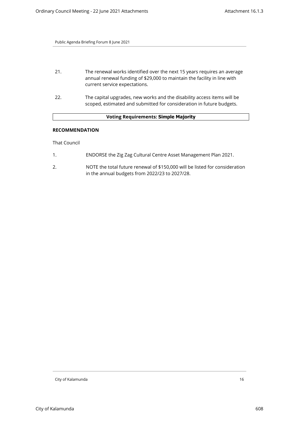- 21. The renewal works identified over the next 15 years requires an average annual renewal funding of \$29,000 to maintain the facility in line with current service expectations.
- 22. The capital upgrades, new works and the disability access items will be scoped, estimated and submitted for consideration in future budgets.

# **Voting Requirements: Simple Majority**

# **RECOMMENDATION**

That Council

- 1. ENDORSE the Zig Zag Cultural Centre Asset Management Plan 2021.
- 2. NOTE the total future renewal of \$150,000 will be listed for consideration in the annual budgets from 2022/23 to 2027/28.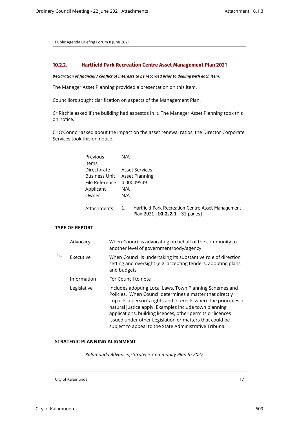## <span id="page-16-0"></span>**10.2.2. Hartfield Park Recreation Centre Asset Management Plan 2021**

#### *Declaration of financial / conflict of interests to be recorded prior to dealing with each item.*

The Manager Asset Planning provided a presentation on this item.

Councillors sought clarification on aspects of the Management Plan.

Cr Ritchie asked if the building had asbestos in it. The Manager Asset Planning took this on notice.

Cr O'Connor asked about the impact on the asset renewal ratios, the Director Corporate Services took this on notice.

| Previous                  | N/A                          |
|---------------------------|------------------------------|
| Items                     |                              |
| Directorate               | Asset Services               |
|                           | Business Unit Asset Planning |
| File Reference 4.00009549 |                              |
| Applicant                 | N/A                          |
| Owner                     | N/A                          |
|                           |                              |

Attachments 1. Hartfield Park Recreation Centre Asset Management Plan 2021 [**10.2.2.1** - 31 pages]

# **TYPE OF REPORT**

|   | Advocacy    | When Council is advocating on behalf of the community to<br>another level of government/body/agency                                                                                                                                                                                                                                                                                                                                |
|---|-------------|------------------------------------------------------------------------------------------------------------------------------------------------------------------------------------------------------------------------------------------------------------------------------------------------------------------------------------------------------------------------------------------------------------------------------------|
| 肚 | Executive   | When Council is undertaking its substantive role of direction<br>setting and oversight (e.g. accepting tenders, adopting plans<br>and budgets                                                                                                                                                                                                                                                                                      |
|   | Information | For Council to note                                                                                                                                                                                                                                                                                                                                                                                                                |
|   | Legislative | Includes adopting Local Laws, Town Planning Schemes and<br>Policies. When Council determines a matter that directly<br>impacts a person's rights and interests where the principles of<br>natural justice apply. Examples include town planning<br>applications, building licences, other permits or licences<br>issued under other Legislation or matters that could be<br>subject to appeal to the State Administrative Tribunal |

## **STRATEGIC PLANNING ALIGNMENT**

*Kalamunda Advancing Strategic Community Plan to 2027*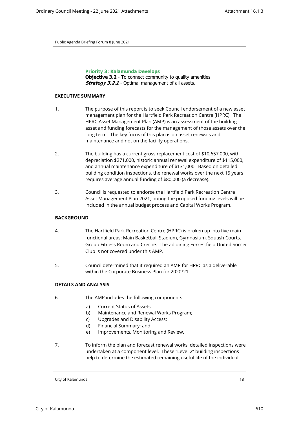**Priority 3: Kalamunda Develops Objective 3.2** - To connect community to quality amenities. **Strategy 3.2.1** - Optimal management of all assets.

# **EXECUTIVE SUMMARY**

- 1. The purpose of this report is to seek Council endorsement of a new asset management plan for the Hartfield Park Recreation Centre (HPRC). The HPRC Asset Management Plan (AMP) is an assessment of the building asset and funding forecasts for the management of those assets over the long term. The key focus of this plan is on asset renewals and maintenance and not on the facility operations.
- 2. The building has a current gross replacement cost of \$10,657,000, with depreciation \$271,000, historic annual renewal expenditure of \$115,000, and annual maintenance expenditure of \$131,000. Based on detailed building condition inspections, the renewal works over the next 15 years requires average annual funding of \$80,000 (a decrease).
- 3. Council is requested to endorse the Hartfield Park Recreation Centre Asset Management Plan 2021, noting the proposed funding levels will be included in the annual budget process and Capital Works Program.

# **BACKGROUND**

- 4. The Hartfield Park Recreation Centre (HPRC) is broken up into five main functional areas: Main Basketball Stadium, Gymnasium, Squash Courts, Group Fitness Room and Creche. The adjoining Forrestfield United Soccer Club is not covered under this AMP.
- 5. Council determined that it required an AMP for HPRC as a deliverable within the Corporate Business Plan for 2020/21.

# **DETAILS AND ANALYSIS**

- 6. The AMP includes the following components:
	- a) Current Status of Assets;
	- b) Maintenance and Renewal Works Program;
	- c) Upgrades and Disability Access;
	- d) Financial Summary; and
	- e) Improvements, Monitoring and Review.
- 7. To inform the plan and forecast renewal works, detailed inspections were undertaken at a component level. These "Level 2" building inspections help to determine the estimated remaining useful life of the individual

City of Kalamunda 18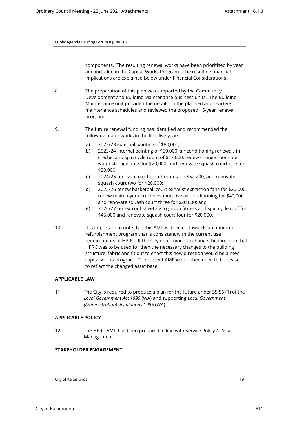components. The resulting renewal works have been prioritised by year and included in the Capital Works Program. The resulting financial implications are explained below under Financial Considerations.

- 8. The preparation of this plan was supported by the Community Development and Building Maintenance business units. The Building Maintenance unit provided the details on the planned and reactive maintenance schedules and reviewed the proposed 15-year renewal program.
- 9. The future renewal funding has identified and recommended the following major works in the first five years:
	- a) 2022/23 external painting of \$80,000;
	- b) 2023/24 internal painting of \$50,000, air conditioning renewals in creche, and spin cycle room of \$17,000, renew change room hot water storage units for \$20,000, and renovate squash court one for \$20,000;
	- c) 2024/25 renovate creche bathrooms for \$52,200, and renovate squash court two for \$20,000;
	- d) 2025/26 renew basketball court exhaust extraction fans for \$20,000, renew main foyer / creche evaporative air conditioning for \$40,000, and renovate squash court three for \$20,000; and
	- e) 2026/27 renew roof sheeting to group fitness and spin cycle roof for \$45,000 and renovate squash court four for \$20,000.
- 10. It is important to note that this AMP is directed towards an optimum refurbishment program that is consistent with the current use requirements of HPRC. If the City determined to change the direction that HPRC was to be used for then the necessary changes to the building structure, fabric and fit out to enact this new direction would be a new capital works program. The current AMP would then need to be revised to reflect the changed asset base.

## **APPLICABLE LAW**

11. The City is required to produce a plan for the future under S5.56 (1) of the *Local Government Act 1995* (WA) and supporting *Local Government (Administration) Regulations 1996* (WA).

## **APPLICABLE POLICY**

12. The HPRC AMP has been prepared in line with Service Policy 4: Asset Management.

# **STAKEHOLDER ENGAGEMENT**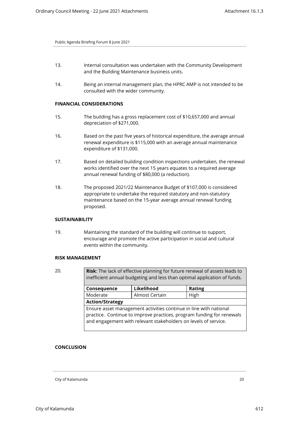- 13. Internal consultation was undertaken with the Community Development and the Building Maintenance business units.
- 14. Being an internal management plan, the HPRC AMP is not intended to be consulted with the wider community.

## **FINANCIAL CONSIDERATIONS**

- 15. The building has a gross replacement cost of \$10,657,000 and annual depreciation of \$271,000.
- 16. Based on the past five years of historical expenditure, the average annual renewal expenditure is \$115,000 with an average annual maintenance expenditure of \$131,000.
- 17. Based on detailed building condition inspections undertaken, the renewal works identified over the next 15 years equates to a required average annual renewal funding of \$80,000 (a reduction).
- 18. The proposed 2021/22 Maintenance Budget of \$107,000 is considered appropriate to undertake the required statutory and non-statutory maintenance based on the 15-year average annual renewal funding proposed.

## **SUSTAINABILITY**

19. Maintaining the standard of the building will continue to support, encourage and promote the active participation in social and cultural events within the community.

#### **RISK MANAGEMENT**

20. **Risk**: The lack of effective planning for future renewal of assets leads to inefficient annual budgeting and less than optimal application of funds. **Consequence Likelihood Rating** Moderate | Almost Certain | High

**Action/Strategy** Ensure asset management activities continue in line with national practice. Continue to improve practices, program funding for renewals and engagement with relevant stakeholders on levels of service.

## **CONCLUSION**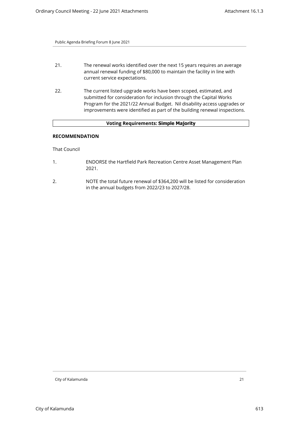- 21. The renewal works identified over the next 15 years requires an average annual renewal funding of \$80,000 to maintain the facility in line with current service expectations.
- 22. The current listed upgrade works have been scoped, estimated, and submitted for consideration for inclusion through the Capital Works Program for the 2021/22 Annual Budget. Nil disability access upgrades or improvements were identified as part of the building renewal inspections.

# **Voting Requirements: Simple Majority**

## **RECOMMENDATION**

That Council

- 1. ENDORSE the Hartfield Park Recreation Centre Asset Management Plan 2021.
- 2. NOTE the total future renewal of \$364,200 will be listed for consideration in the annual budgets from 2022/23 to 2027/28.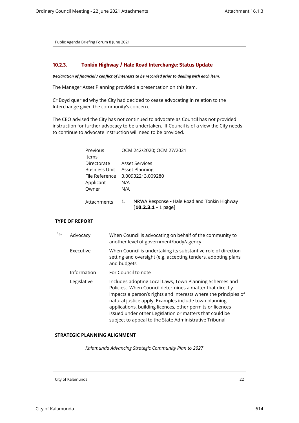## <span id="page-21-0"></span>**10.2.3. Tonkin Highway / Hale Road Interchange: Status Update**

#### *Declaration of financial / conflict of interests to be recorded prior to dealing with each item.*

The Manager Asset Planning provided a presentation on this item.

Cr Boyd queried why the City had decided to cease advocating in relation to the Interchange given the community's concern.

The CEO advised the City has not continued to advocate as Council has not provided instruction for further advocacy to be undertaken. If Council is of a view the City needs to continue to advocate instruction will need to be provided.

| Previous       | OCM 242/2020; OCM 27/2021                          |
|----------------|----------------------------------------------------|
| Items          |                                                    |
| Directorate    | Asset Services                                     |
| Business Unit  | <b>Asset Planning</b>                              |
| File Reference | 3.009322; 3.009280                                 |
| Applicant      | N/A                                                |
| Owner          | N/A                                                |
|                |                                                    |
| Attachments    | MRWA Response - Hale Road and Tonkin Highway<br>1. |

[**10.2.3.1** - 1 page]

## **TYPE OF REPORT**

| 肚 | Advocacy    | When Council is advocating on behalf of the community to<br>another level of government/body/agency                                                                                                                                                                                                                                                                                                                                |
|---|-------------|------------------------------------------------------------------------------------------------------------------------------------------------------------------------------------------------------------------------------------------------------------------------------------------------------------------------------------------------------------------------------------------------------------------------------------|
|   | Executive   | When Council is undertaking its substantive role of direction<br>setting and oversight (e.g. accepting tenders, adopting plans<br>and budgets                                                                                                                                                                                                                                                                                      |
|   | Information | For Council to note                                                                                                                                                                                                                                                                                                                                                                                                                |
|   | Legislative | Includes adopting Local Laws, Town Planning Schemes and<br>Policies. When Council determines a matter that directly<br>impacts a person's rights and interests where the principles of<br>natural justice apply. Examples include town planning<br>applications, building licences, other permits or licences<br>issued under other Legislation or matters that could be<br>subject to appeal to the State Administrative Tribunal |

## **STRATEGIC PLANNING ALIGNMENT**

*Kalamunda Advancing Strategic Community Plan to 2027*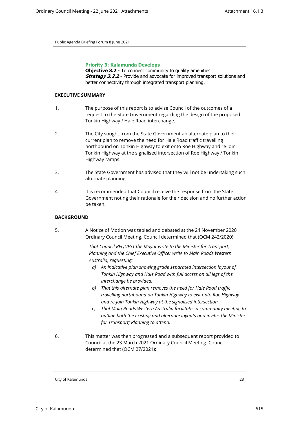## **Priority 3: Kalamunda Develops**

**Objective 3.2** - To connect community to quality amenities. **Strategy 3.2.2** - Provide and advocate for improved transport solutions and better connectivity through integrated transport planning.

## **EXECUTIVE SUMMARY**

- 1. The purpose of this report is to advise Council of the outcomes of a request to the State Government regarding the design of the proposed Tonkin Highway / Hale Road interchange.
- 2. The City sought from the State Government an alternate plan to their current plan to remove the need for Hale Road traffic travelling northbound on Tonkin Highway to exit onto Roe Highway and re-join Tonkin Highway at the signalised intersection of Roe Highway / Tonkin Highway ramps.
- 3. The State Government has advised that they will not be undertaking such alternate planning.
- 4. It is recommended that Council receive the response from the State Government noting their rationale for their decision and no further action be taken.

# **BACKGROUND**

5. A Notice of Motion was tabled and debated at the 24 November 2020 Ordinary Council Meeting. Council determined that (OCM 242/2020):

> *That Council REQUEST the Mayor write to the Minister for Transport; Planning and the Chief Executive Officer write to Main Roads Western Australia, requesting:*

- *a) An indicative plan showing grade separated intersection layout of Tonkin Highway and Hale Road with full access on all legs of the interchange be provided.*
- *b) That this alternate plan removes the need for Hale Road traffic travelling northbound on Tonkin Highway to exit onto Roe Highway and re-join Tonkin Highway at the signalised intersection.*
- *c) That Main Roads Western Australia facilitates a community meeting to outline both the existing and alternate layouts and invites the Minister for Transport; Planning to attend.*
- 6. This matter was then progressed and a subsequent report provided to Council at the 23 March 2021 Ordinary Council Meeting. Council determined that (OCM 27/2021):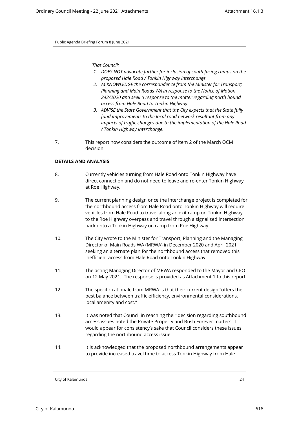*That Council:* 

- *1. DOES NOT advocate further for inclusion of south facing ramps on the proposed Hale Road / Tonkin Highway Interchange.*
- *2. ACKNOWLEDGE the correspondence from the Minister for Transport; Planning and Main Roads WA in response to the Notice of Motion 242/2020 and seek a response to the matter regarding north bound access from Hale Road to Tonkin Highway.*
- *3. ADVISE the State Government that the City expects that the State fully fund improvements to the local road network resultant from any impacts of traffic changes due to the implementation of the Hale Road / Tonkin Highway Interchange.*
- 7. This report now considers the outcome of item 2 of the March OCM decision.

## **DETAILS AND ANALYSIS**

- 8. Currently vehicles turning from Hale Road onto Tonkin Highway have direct connection and do not need to leave and re-enter Tonkin Highway at Roe Highway.
- 9. The current planning design once the interchange project is completed for the northbound access from Hale Road onto Tonkin Highway will require vehicles from Hale Road to travel along an exit ramp on Tonkin Highway to the Roe Highway overpass and travel through a signalised intersection back onto a Tonkin Highway on ramp from Roe Highway.
- 10. The City wrote to the Minister for Transport; Planning and the Managing Director of Main Roads WA (MRWA) in December 2020 and April 2021 seeking an alternate plan for the northbound access that removed this inefficient access from Hale Road onto Tonkin Highway.
- 11. The acting Managing Director of MRWA responded to the Mayor and CEO on 12 May 2021. The response is provided as Attachment 1 to this report.
- 12. The specific rationale from MRWA is that their current design "offers the best balance between traffic efficiency, environmental considerations, local amenity and cost."
- 13. It was noted that Council in reaching their decision regarding southbound access issues noted the Private Property and Bush Forever matters. It would appear for consistency's sake that Council considers these issues regarding the northbound access issue.
- 14. It is acknowledged that the proposed northbound arrangements appear to provide increased travel time to access Tonkin Highway from Hale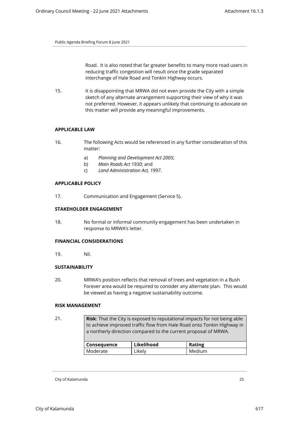Road. It is also noted that far greater benefits to many more road users in reducing traffic congestion will result once the grade separated interchange of Hale Road and Tonkin Highway occurs.

15. It is disappointing that MRWA did not even provide the City with a simple sketch of any alternate arrangement supporting their view of why it was not preferred. However, it appears unlikely that continuing to advocate on this matter will provide any meaningful improvements.

## **APPLICABLE LAW**

- 16. The following Acts would be referenced in any further consideration of this matter:
	- a) *Planning and Development Act 2005*;
	- b) *Main Roads Act 1930*; and
	- c) *Land Administration Act, 1997*.

## **APPLICABLE POLICY**

17. Communication and Engagement (Service 5).

## **STAKEHOLDER ENGAGEMENT**

18. No formal or informal community engagement has been undertaken in response to MRWA's letter.

## **FINANCIAL CONSIDERATIONS**

19. Nil.

# **SUSTAINABILITY**

20. MRWA's position reflects that removal of trees and vegetation in a Bush Forever area would be required to consider any alternate plan. This would be viewed as having a negative sustainability outcome.

# **RISK MANAGEMENT**

21. **Risk**: That the City is exposed to reputational impacts for not being able to achieve improved traffic flow from Hale Road onto Tonkin Highway in a northerly direction compared to the current proposal of MRWA. **Consequence Likelihood Rating** Moderate | Likely | Medium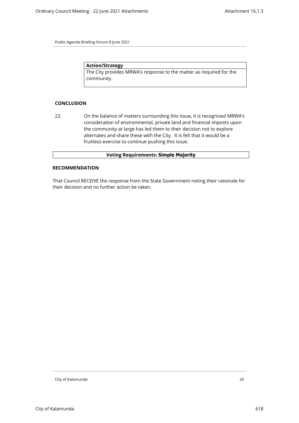**Action/Strategy** The City provides MRWA's response to the matter as required for the community.

## **CONCLUSION**

22. On the balance of matters surrounding this issue, it is recognised MRWA's consideration of environmental, private land and financial imposts upon the community at large has led them to their decision not to explore alternates and share these with the City. It is felt that it would be a fruitless exercise to continue pushing this issue.

## **Voting Requirements: Simple Majority**

#### **RECOMMENDATION**

That Council RECEIVE the response from the State Government noting their rationale for their decision and no further action be taken.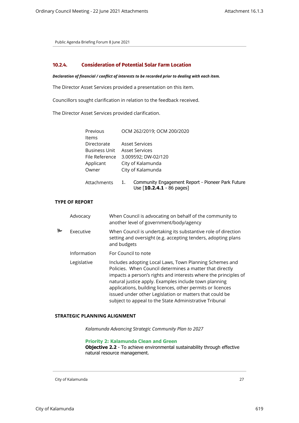## <span id="page-26-0"></span>**10.2.4. Consideration of Potential Solar Farm Location**

#### *Declaration of financial / conflict of interests to be recorded prior to dealing with each item.*

The Director Asset Services provided a presentation on this item.

Councillors sought clarification in relation to the feedback received.

The Director Asset Services provided clarification.

| Previous       | OCM 262/2019; OCM 200/2020                                                                     |
|----------------|------------------------------------------------------------------------------------------------|
| ltems          |                                                                                                |
| Directorate    | Asset Services                                                                                 |
| Business Unit  | <b>Asset Services</b>                                                                          |
| File Reference | 3.009592; DW-02/120                                                                            |
| Applicant      | City of Kalamunda                                                                              |
| Owner          | City of Kalamunda                                                                              |
| Attachments    | Community Engagement Report - Pioneer Park Future<br>1.<br>Use $[10.2.4.1 - 86 \text{ pages}]$ |

## **TYPE OF REPORT**

|   | Advocacy    | When Council is advocating on behalf of the community to<br>another level of government/body/agency                                                                                                                                                                                                                                                                                                                                |
|---|-------------|------------------------------------------------------------------------------------------------------------------------------------------------------------------------------------------------------------------------------------------------------------------------------------------------------------------------------------------------------------------------------------------------------------------------------------|
| 叱 | Executive   | When Council is undertaking its substantive role of direction<br>setting and oversight (e.g. accepting tenders, adopting plans<br>and budgets                                                                                                                                                                                                                                                                                      |
|   | Information | For Council to note                                                                                                                                                                                                                                                                                                                                                                                                                |
|   | Legislative | Includes adopting Local Laws, Town Planning Schemes and<br>Policies. When Council determines a matter that directly<br>impacts a person's rights and interests where the principles of<br>natural justice apply. Examples include town planning<br>applications, building licences, other permits or licences<br>issued under other Legislation or matters that could be<br>subject to appeal to the State Administrative Tribunal |

#### **STRATEGIC PLANNING ALIGNMENT**

*Kalamunda Advancing Strategic Community Plan to 2027*

**Priority 2: Kalamunda Clean and Green Objective 2.2** - To achieve environmental sustainability through effective natural resource management.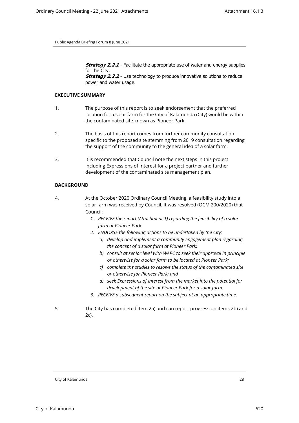*Strategy 2.2.1* - Facilitate the appropriate use of water and energy supplies for the City. *Strategy 2.2.2* - Use technology to produce innovative solutions to reduce power and water usage.

## **EXECUTIVE SUMMARY**

- 1. The purpose of this report is to seek endorsement that the preferred location for a solar farm for the City of Kalamunda (City) would be within the contaminated site known as Pioneer Park.
- 2. The basis of this report comes from further community consultation specific to the proposed site stemming from 2019 consultation regarding the support of the community to the general idea of a solar farm.
- 3. It is recommended that Council note the next steps in this project including Expressions of Interest for a project partner and further development of the contaminated site management plan.

## **BACKGROUND**

- 4. At the October 2020 Ordinary Council Meeting, a feasibility study into a solar farm was received by Council. It was resolved (OCM 200/2020) that Council:
	- *1. RECEIVE the report (Attachment 1) regarding the feasibility of a solar farm at Pioneer Park.*
	- *2. ENDORSE the following actions to be undertaken by the City:* 
		- *a) develop and implement a community engagement plan regarding the concept of a solar farm at Pioneer Park;*
		- *b) consult at senior level with WAPC to seek their approval in principle or otherwise for a solar farm to be located at Pioneer Park;*
		- *c) complete the studies to resolve the status of the contaminated site or otherwise for Pioneer Park; and*
		- *d) seek Expressions of Interest from the market into the potential for development of the site at Pioneer Park for a solar farm.*
	- *3. RECEIVE a subsequent report on the subject at an appropriate time.*
- 5. The City has completed Item 2a) and can report progress on items 2b) and 2c).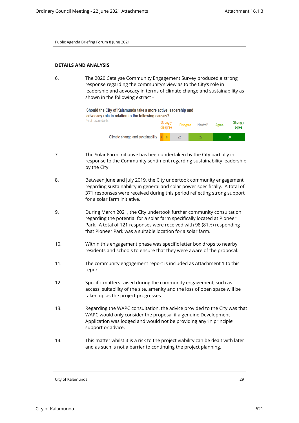## **DETAILS AND ANALYSIS**

6. The 2020 Catalyse Community Engagement Survey produced a strong response regarding the community's view as to the City's role in leadership and advocacy in terms of climate change and sustainability as shown in the following extract -



- 7. The Solar Farm initiative has been undertaken by the City partially in response to the Community sentiment regarding sustainability leadership by the City.
- 8. Between June and July 2019, the City undertook community engagement regarding sustainability in general and solar power specifically. A total of 371 responses were received during this period reflecting strong support for a solar farm initiative.
- 9. During March 2021, the City undertook further community consultation regarding the potential for a solar farm specifically located at Pioneer Park. A total of 121 responses were received with 98 (81%) responding that Pioneer Park was a suitable location for a solar farm.
- 10. Within this engagement phase was specific letter box drops to nearby residents and schools to ensure that they were aware of the proposal.
- 11. The community engagement report is included as Attachment 1 to this report.
- 12. Specific matters raised during the community engagement, such as access, suitability of the site, amenity and the loss of open space will be taken up as the project progresses.
- 13. Regarding the WAPC consultation, the advice provided to the City was that WAPC would only consider the proposal if a genuine Development Application was lodged and would not be providing any 'in principle' support or advice.
- 14. This matter whilst it is a risk to the project viability can be dealt with later and as such is not a barrier to continuing the project planning.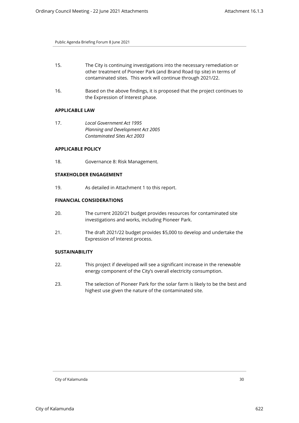- 15. The City is continuing investigations into the necessary remediation or other treatment of Pioneer Park (and Brand Road tip site) in terms of contaminated sites. This work will continue through 2021/22.
- 16. Based on the above findings, it is proposed that the project continues to the Expression of Interest phase.

## **APPLICABLE LAW**

17. *Local Government Act 1995 Planning and Development Act 2005 Contaminated Sites Act 2003*

## **APPLICABLE POLICY**

18. Governance 8: Risk Management.

## **STAKEHOLDER ENGAGEMENT**

19. As detailed in Attachment 1 to this report.

## **FINANCIAL CONSIDERATIONS**

- 20. The current 2020/21 budget provides resources for contaminated site investigations and works, including Pioneer Park.
- 21. The draft 2021/22 budget provides \$5,000 to develop and undertake the Expression of Interest process.

## **SUSTAINABILITY**

- 22. This project if developed will see a significant increase in the renewable energy component of the City's overall electricity consumption.
- 23. The selection of Pioneer Park for the solar farm is likely to be the best and highest use given the nature of the contaminated site.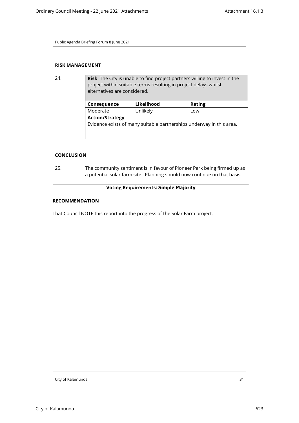# **RISK MANAGEMENT**

24. **Risk**: The City is unable to find project partners willing to invest in the project within suitable terms resulting in project delays whilst alternatives are considered.

| Likelihood                                                           | <b>Rating</b> |  |  |  |  |
|----------------------------------------------------------------------|---------------|--|--|--|--|
| Unlikely                                                             | Low           |  |  |  |  |
| <b>Action/Strategy</b>                                               |               |  |  |  |  |
| Evidence exists of many suitable partnerships underway in this area. |               |  |  |  |  |
|                                                                      |               |  |  |  |  |
|                                                                      |               |  |  |  |  |

## **CONCLUSION**

25. The community sentiment is in favour of Pioneer Park being firmed up as a potential solar farm site. Planning should now continue on that basis.

## **Voting Requirements: Simple Majority**

## **RECOMMENDATION**

That Council NOTE this report into the progress of the Solar Farm project.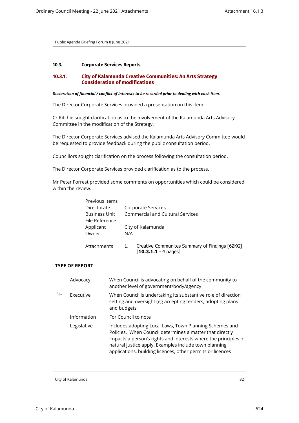# <span id="page-31-1"></span><span id="page-31-0"></span>**10.3. Corporate Services Reports**

# **10.3.1. City of Kalamunda Creative Communities: An Arts Strategy Consideration of modifications**

#### *Declaration of financial / conflict of interests to be recorded prior to dealing with each item.*

The Director Corporate Services provided a presentation on this item.

Cr Ritchie sought clarification as to the involvement of the Kalamunda Arts Advisory Committee in the modification of the Strategy.

The Director Corporate Services advised the Kalamunda Arts Advisory Committee would be requested to provide feedback during the public consultation period.

Councillors sought clarification on the process following the consultation period.

The Director Corporate Services provided clarification as to the process.

Mr Peter Forrest provided some comments on opportunities which could be considered within the review.

| <b>Previous Items</b> |                                                                                                    |
|-----------------------|----------------------------------------------------------------------------------------------------|
| Directorate           | Corporate Services                                                                                 |
| <b>Business Unit</b>  | <b>Commercial and Cultural Services</b>                                                            |
| File Reference        |                                                                                                    |
| Applicant             | City of Kalamunda                                                                                  |
| Owner                 | N/A                                                                                                |
| Attachments           | Creative Communites Summary of Findings [6ZKG]<br>1.<br>$\lceil 10.3.1.1 - 4 \text{ pages} \rceil$ |

## **TYPE OF REPORT**

|           | Advocacy    | When Council is advocating on behalf of the community to<br>another level of government/body/agency                                                                                                                                                                                                           |
|-----------|-------------|---------------------------------------------------------------------------------------------------------------------------------------------------------------------------------------------------------------------------------------------------------------------------------------------------------------|
| $\approx$ | Executive   | When Council is undertaking its substantive role of direction<br>setting and oversight (eg accepting tenders, adopting plans<br>and budgets                                                                                                                                                                   |
|           | Information | For Council to note                                                                                                                                                                                                                                                                                           |
|           | Legislative | Includes adopting Local Laws, Town Planning Schemes and<br>Policies. When Council determines a matter that directly<br>impacts a person's rights and interests where the principles of<br>natural justice apply. Examples include town planning<br>applications, building licences, other permits or licences |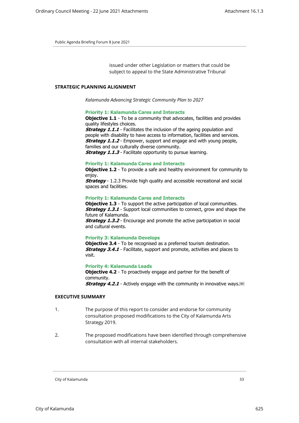issued under other Legislation or matters that could be subject to appeal to the State Administrative Tribunal

#### **STRATEGIC PLANNING ALIGNMENT**

*Kalamunda Advancing Strategic Community Plan to 2027*

#### **Priority 1: Kalamunda Cares and Interacts**

**Objective 1.1** - To be a community that advocates, facilities and provides quality lifestyles choices.

**Strategy 1.1.1** - Facilitates the inclusion of the ageing population and people with disability to have access to information, facilities and services. *Strategy 1.1.2* - Empower, support and engage and with young people, families and our culturally diverse community. **Strategy 1.1.3** - Facilitate opportunity to pursue learning.

#### **Priority 1: Kalamunda Cares and Interacts**

**Objective 1.2** - To provide a safe and healthy environment for community to enjoy.

**Strategy** - 1.2.3 Provide high quality and accessible recreational and social spaces and facilities.

#### **Priority 1: Kalamunda Cares and Interacts**

**Objective 1.3** - To support the active participation of local communities. **Strategy 1.3.1** - Support local communities to connect, grow and shape the future of Kalamunda. **Strategy 1.3.2** - Encourage and promote the active participation in social

and cultural events.

#### **Priority 3: Kalamunda Develops**

**Objective 3.4** - To be recognised as a preferred tourism destination. **Strategy 3.4.1** - Facilitate, support and promote, activities and places to visit.

#### **Priority 4: Kalamunda Leads**

**Objective 4.2** - To proactively engage and partner for the benefit of community.

*Strategy 4.2.1* - Actively engage with the community in innovative ways.

#### **EXECUTIVE SUMMARY**

- 1. The purpose of this report to consider and endorse for community consultation proposed modifications to the City of Kalamunda Arts Strategy 2019.
- 2. The proposed modifications have been identified through comprehensive consultation with all internal stakeholders.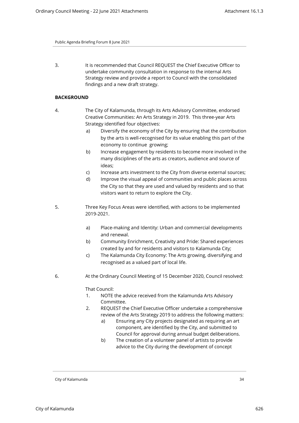3. It is recommended that Council REQUEST the Chief Executive Officer to undertake community consultation in response to the internal Arts Strategy review and provide a report to Council with the consolidated findings and a new draft strategy.

## **BACKGROUND**

- 4. The City of Kalamunda, through its Arts Advisory Committee, endorsed Creative Communities: An Arts Strategy in 2019. This three-year Arts Strategy identified four objectives:
	- a) Diversify the economy of the City by ensuring that the contribution by the arts is well-recognised for its value enabling this part of the economy to continue growing;
	- b) Increase engagement by residents to become more involved in the many disciplines of the arts as creators, audience and source of ideas;
	- c) Increase arts investment to the City from diverse external sources;
	- d) Improve the visual appeal of communities and public places across the City so that they are used and valued by residents and so that visitors want to return to explore the City.
- 5. Three Key Focus Areas were identified, with actions to be implemented 2019-2021.
	- a) Place-making and Identity: Urban and commercial developments and renewal.
	- b) Community Enrichment, Creativity and Pride: Shared experiences created by and for residents and visitors to Kalamunda City;
	- c) The Kalamunda City Economy: The Arts growing, diversifying and recognised as a valued part of local life.
- 6. At the Ordinary Council Meeting of 15 December 2020, Council resolved:

That Council:

- 1. NOTE the advice received from the Kalamunda Arts Advisory Committee.
- 2. REQUEST the Chief Executive Officer undertake a comprehensive review of the Arts Strategy 2019 to address the following matters:
	- a) Ensuring any City projects designated as requiring an art component, are identified by the City, and submitted to Council for approval during annual budget deliberations.
	- b) The creation of a volunteer panel of artists to provide advice to the City during the development of concept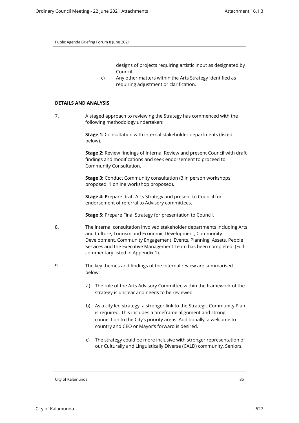designs of projects requiring artistic input as designated by Council.

c) Any other matters within the Arts Strategy identified as requiring adjustment or clarification.

#### **DETAILS AND ANALYSIS**

7. A staged approach to reviewing the Strategy has commenced with the following methodology undertaken:

> **Stage 1:** Consultation with internal stakeholder departments (listed below).

**Stage 2:** Review findings of Internal Review and present Council with draft findings and modifications and seek endorsement to proceed to Community Consultation.

**Stage 3:** Conduct Community consultation (3 in person workshops proposed, 1 online workshop proposed).

**Stage 4: P**repare draft Arts Strategy and present to Council for endorsement of referral to Advisory committees.

**Stage 5:** Prepare Final Strategy for presentation to Council.

- 8. The internal consultation involved stakeholder departments including Arts and Culture, Tourism and Economic Development, Community Development, Community Engagement, Events, Planning, Assets, People Services and the Executive Management Team has been completed. (Full commentary listed in Appendix 1).
- 9. The key themes and findings of the Internal review are summarised below:
	- a) The role of the Arts Advisory Committee within the framework of the strategy is unclear and needs to be reviewed.
	- b) As a city led strategy, a stronger link to the Strategic Community Plan is required. This includes a timeframe alignment and strong connection to the City's priority areas. Additionally, a welcome to country and CEO or Mayor's forward is desired.
	- c) The strategy could be more inclusive with stronger representation of our Culturally and Linguistically Diverse (CALD) community, Seniors,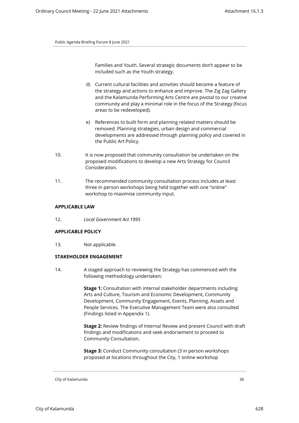Families and Youth. Several strategic documents don't appear to be included such as the Youth strategy.

- d) Current cultural facilities and activities should become a feature of the strategy and actions to enhance and improve. The Zig Zag Gallery and the Kalamunda Performing Arts Centre are pivotal to our creative community and play a minimal role in the focus of the Strategy (focus areas to be redeveloped).
- e) References to built form and planning related matters should be removed. Planning strategies, urban design and commercial developments are addressed through planning policy and covered in the Public Art Policy.
- 10. It is now proposed that community consultation be undertaken on the proposed modifications to develop a new Arts Strategy for Council Consideration.
- 11. The recommended community consultation process includes at least three in person workshops being held together with one "online" workshop to maximise community input.

## **APPLICABLE LAW**

12. *Local Government Act 1995*

## **APPLICABLE POLICY**

13. Not applicable.

## **STAKEHOLDER ENGAGEMENT**

14. A staged approach to reviewing the Strategy has commenced with the following methodology undertaken:

> **Stage 1:** Consultation with internal stakeholder departments including Arts and Culture, Tourism and Economic Development, Community Development, Community Engagement, Events, Planning, Assets and People Services. The Executive Management Team were also consulted (Findings listed in Appendix 1).

**Stage 2:** Review findings of Internal Review and present Council with draft findings and modifications and seek endorsement to proceed to Community Consultation.

**Stage 3:** Conduct Community consultation (3 in person workshops proposed at locations throughout the City, 1 online workshop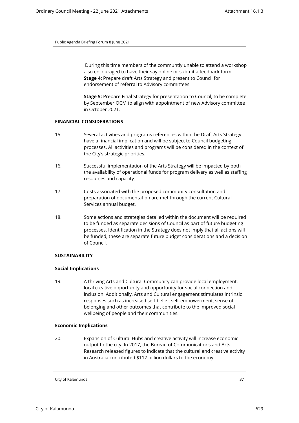During this time members of the communtiy unable to attend a workshop also encouraged to have their say online or submit a feedback form. **Stage 4: P**repare draft Arts Strategy and present to Council for endorsement of referral to Advisory committees.

**Stage 5:** Prepare Final Strategy for presentation to Council, to be complete by September OCM to align with appointment of new Advisory committee in October 2021.

## **FINANCIAL CONSIDERATIONS**

- 15. Several activities and programs references within the Draft Arts Strategy have a financial implication and will be subject to Council budgeting processes. All activities and programs will be considered in the context of the City's strategic priorities.
- 16. Successful implementation of the Arts Strategy will be impacted by both the availability of operational funds for program delivery as well as staffing resources and capacity.
- 17. Costs associated with the proposed community consultation and preparation of documentation are met through the current Cultural Services annual budget.
- 18. Some actions and strategies detailed within the document will be required to be funded as separate decisions of Council as part of future budgeting processes. Identification in the Strategy does not imply that all actions will be funded, these are separate future budget considerations and a decision of Council.

## **SUSTAINABILITY**

## **Social Implications**

19. A thriving Arts and Cultural Community can provide local employment, local creative opportunity and opportunity for social connection and inclusion. Additionally, Arts and Cultural engagement stimulates intrinsic responses such as increased self-belief, self-empowerment, sense of belonging and other outcomes that contribute to the improved social wellbeing of people and their communities.

# **Economic Implications**

20. Expansion of Cultural Hubs and creative activity will increase economic output to the city. In 2017, the Bureau of Communications and Arts Research released figures to indicate that the cultural and creative activity in Australia contributed \$117 billion dollars to the economy.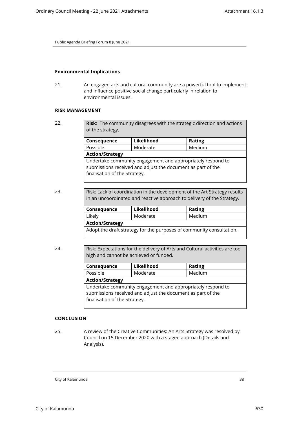#### **Environmental Implications**

21. An engaged arts and cultural community are a powerful tool to implement and influence positive social change particularly in relation to environmental issues.

#### **RISK MANAGEMENT**

22. **Risk**: The community disagrees with the strategic direction and actions of the strategy. **Consequence Likelihood Rating** Possible Moderate Medium

**Action/Strategy** Undertake community engagement and appropriately respond to submissions received and adjust the document as part of the finalisation of the Strategy.

23. Risk: Lack of coordination in the development of the Art Strategy results in an uncoordinated and reactive approach to delivery of the Strategy.

| Consequence                                                          | Likelihood | <b>Rating</b> |  |
|----------------------------------------------------------------------|------------|---------------|--|
| Likely                                                               | Moderate   | Medium        |  |
| <b>Action/Strategy</b>                                               |            |               |  |
| Adopt the draft strategy for the purposes of community consultation. |            |               |  |

24. Risk: Expectations for the delivery of Arts and Cultural activities are too high and cannot be achieved or funded.

| Consequence                                                 | Likelihood | <b>Rating</b> |  |
|-------------------------------------------------------------|------------|---------------|--|
| Possible                                                    | Moderate   | Medium        |  |
| <b>Action/Strategy</b>                                      |            |               |  |
| Undertake community engagement and appropriately respond to |            |               |  |
| submissions received and adjust the document as part of the |            |               |  |
| finalisation of the Strategy.                               |            |               |  |
|                                                             |            |               |  |

## **CONCLUSION**

25. A review of the Creative Communities: An Arts Strategy was resolved by Council on 15 December 2020 with a staged approach (Details and Analysis).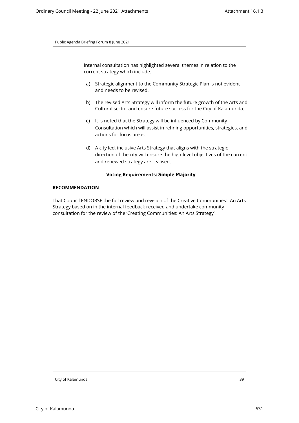Internal consultation has highlighted several themes in relation to the current strategy which include:

- a) Strategic alignment to the Community Strategic Plan is not evident and needs to be revised.
- b) The revised Arts Strategy will inform the future growth of the Arts and Cultural sector and ensure future success for the City of Kalamunda.
- c) It is noted that the Strategy will be influenced by Community Consultation which will assist in refining opportunities, strategies, and actions for focus areas.
- d) A city led, inclusive Arts Strategy that aligns with the strategic direction of the city will ensure the high-level objectives of the current and renewed strategy are realised.

## **Voting Requirements: Simple Majority**

#### **RECOMMENDATION**

That Council ENDORSE the full review and revision of the Creative Communities: An Arts Strategy based on in the internal feedback received and undertake community consultation for the review of the 'Creating Communities: An Arts Strategy'.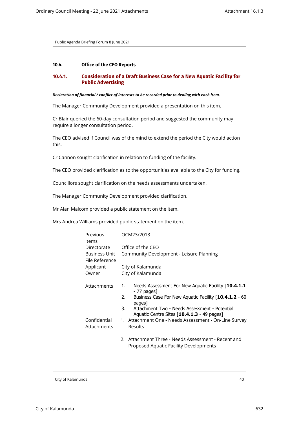## **10.4. Office of the CEO Reports**

# **10.4.1. Consideration of a Draft Business Case for a New Aquatic Facility for Public Advertising**

#### *Declaration of financial / conflict of interests to be recorded prior to dealing with each item.*

The Manager Community Development provided a presentation on this item.

Cr Blair queried the 60-day consultation period and suggested the community may require a longer consultation period.

The CEO advised if Council was of the mind to extend the period the City would action this.

Cr Cannon sought clarification in relation to funding of the facility.

The CEO provided clarification as to the opportunities available to the City for funding.

Councillors sought clarification on the needs assessments undertaken.

The Manager Community Development provided clarification.

Mr Alan Malcom provided a public statement on the item.

Mrs Andrea Williams provided public statement on the item.

| Previous<br>Items               | OCM23/2013                                                                                          |
|---------------------------------|-----------------------------------------------------------------------------------------------------|
| Directorate                     | Office of the CFO                                                                                   |
| Business Unit<br>File Reference | Community Development - Leisure Planning                                                            |
| Applicant                       | City of Kalamunda                                                                                   |
| Owner                           | City of Kalamunda                                                                                   |
| Attachments                     | Needs Assessment For New Aquatic Facility [10.4.1.1]<br>1.<br>- 77 pages]                           |
|                                 | Business Case For New Aquatic Facility [10.4.1.2 - 60<br>2.<br>pages <sup>1</sup>                   |
|                                 | Attachment Two - Needs Assessment - Potential<br>3.<br>Aquatic Centre Sites $[10.4.1.3 - 49$ pages] |
| Confidential                    | 1. Attachment One - Needs Assessment - On-Line Survey                                               |
| Attachments                     | Results                                                                                             |
|                                 | Attachment Three - Needs Assessment - Recent and<br>2.<br>Proposed Aquatic Facility Developments    |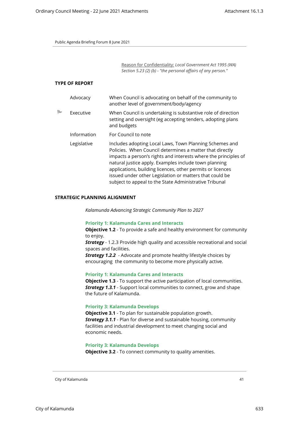Reason for Confidentiality: *Local Government Act 1995 (WA) Section 5.23 (2) (b) - "the personal affairs of any person."*

#### **TYPE OF REPORT**

|   | Advocacy    | When Council is advocating on behalf of the community to<br>another level of government/body/agency                                                                                                                                                                                                                                                                                                                                |
|---|-------------|------------------------------------------------------------------------------------------------------------------------------------------------------------------------------------------------------------------------------------------------------------------------------------------------------------------------------------------------------------------------------------------------------------------------------------|
| 肚 | Executive   | When Council is undertaking is substantive role of direction<br>setting and oversight (eg accepting tenders, adopting plans<br>and budgets                                                                                                                                                                                                                                                                                         |
|   | Information | For Council to note                                                                                                                                                                                                                                                                                                                                                                                                                |
|   | Legislative | Includes adopting Local Laws, Town Planning Schemes and<br>Policies. When Council determines a matter that directly<br>impacts a person's rights and interests where the principles of<br>natural justice apply. Examples include town planning<br>applications, building licences, other permits or licences<br>issued under other Legislation or matters that could be<br>subject to appeal to the State Administrative Tribunal |

#### **STRATEGIC PLANNING ALIGNMENT**

*Kalamunda Advancing Strategic Community Plan to 2027*

## **Priority 1: Kalamunda Cares and Interacts**

**Objective 1.2** - To provide a safe and healthy environment for community to enjoy.

**Strategy** - 1.2.3 Provide high quality and accessible recreational and social spaces and facilities.

**Strategy 1.2.2** - Advocate and promote healthy lifestyle choices by encouraging the community to become more physically active.

#### **Priority 1: Kalamunda Cares and Interacts**

**Objective 1.3** - To support the active participation of local communities. *Strategy 1.3.1* - Support local communities to connect, grow and shape the future of Kalamunda.

## **Priority 3: Kalamunda Develops**

**Objective 3.1** - To plan for sustainable population growth. *Strategy 3.1.1* - Plan for diverse and sustainable housing, community facilities and industrial development to meet changing social and economic needs.

#### **Priority 3: Kalamunda Develops**

**Objective 3.2** - To connect community to quality amenities.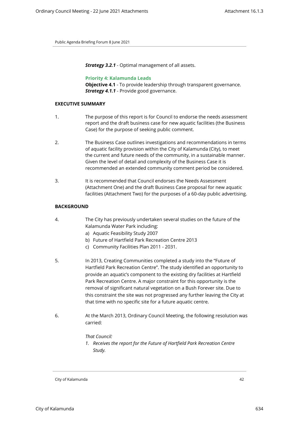*Strategy 3.2.1* - Optimal management of all assets.

#### **Priority 4: Kalamunda Leads**

**Objective 4.1** - To provide leadership through transparent governance. *Strategy 4.1.1* - Provide good governance.

## **EXECUTIVE SUMMARY**

- 1. The purpose of this report is for Council to endorse the needs assessment report and the draft business case for new aquatic facilities (the Business Case) for the purpose of seeking public comment.
- 2. The Business Case outlines investigations and recommendations in terms of aquatic facility provision within the City of Kalamunda (City), to meet the current and future needs of the community, in a sustainable manner. Given the level of detail and complexity of the Business Case it is recommended an extended community comment period be considered.
- 3. It is recommended that Council endorses the Needs Assessment (Attachment One) and the draft Business Case proposal for new aquatic facilities (Attachment Two) for the purposes of a 60-day public advertising.

## **BACKGROUND**

- 4. The City has previously undertaken several studies on the future of the Kalamunda Water Park including:
	- a) Aquatic Feasibility Study 2007
	- b) Future of Hartfield Park Recreation Centre 2013
	- c) Community Facilities Plan 2011 2031.
- 5. In 2013, Creating Communities completed a study into the "Future of Hartfield Park Recreation Centre". The study identified an opportunity to provide an aquatic's component to the existing dry facilities at Hartfield Park Recreation Centre. A major constraint for this opportunity is the removal of significant natural vegetation on a Bush Forever site. Due to this constraint the site was not progressed any further leaving the City at that time with no specific site for a future aquatic centre.
- 6. At the March 2013, Ordinary Council Meeting, the following resolution was carried:

## *That Council:*

*1. Receives the report for the Future of Hartfield Park Recreation Centre Study.*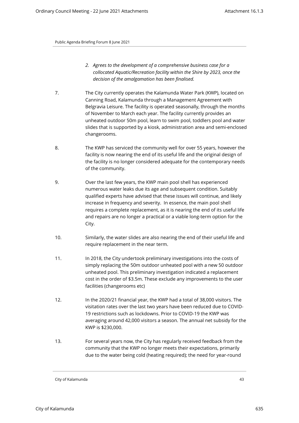- *2. Agrees to the development of a comprehensive business case for a collocated Aquatic/Recreation facility within the Shire by 2023, once the decision of the amalgamation has been finalised.*
- 7. The City currently operates the Kalamunda Water Park (KWP), located on Canning Road, Kalamunda through a Management Agreement with Belgravia Leisure. The facility is operated seasonally, through the months of November to March each year. The facility currently provides an unheated outdoor 50m pool, learn to swim pool, toddlers pool and water slides that is supported by a kiosk, administration area and semi-enclosed changerooms.
- 8. The KWP has serviced the community well for over 55 years, however the facility is now nearing the end of its useful life and the original design of the facility is no longer considered adequate for the contemporary needs of the community.
- 9. Over the last few years, the KWP main pool shell has experienced numerous water leaks due its age and subsequent condition. Suitably qualified experts have advised that these issues will continue, and likely increase in frequency and severity. In essence, the main pool shell requires a complete replacement, as it is nearing the end of its useful life and repairs are no longer a practical or a viable long-term option for the City.
- 10. Similarly, the water slides are also nearing the end of their useful life and require replacement in the near term.
- 11. In 2018, the City undertook preliminary investigations into the costs of simply replacing the 50m outdoor unheated pool with a new 50 outdoor unheated pool. This preliminary investigation indicated a replacement cost in the order of \$3.5m. These exclude any improvements to the user facilities (changerooms etc)
- 12. In the 2020/21 financial year, the KWP had a total of 38,000 visitors. The visitation rates over the last two years have been reduced due to COVID-19 restrictions such as lockdowns. Prior to COVID-19 the KWP was averaging around 42,000 visitors a season. The annual net subsidy for the KWP is \$230,000.
- 13. For several years now, the City has regularly received feedback from the community that the KWP no longer meets their expectations, primarily due to the water being cold (heating required); the need for year-round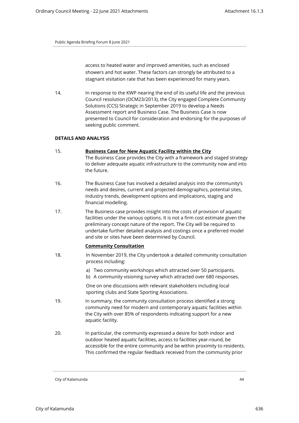access to heated water and improved amenities, such as enclosed showers and hot water. These factors can strongly be attributed to a stagnant visitation rate that has been experienced for many years.

14. In response to the KWP nearing the end of its useful life and the previous Council resolution (OCM23/2013), the City engaged Complete Community Solutions (CCS) Strategic in September 2019 to develop a Needs Assessment report and Business Case. The Business Case is now presented to Council for consideration and endorsing for the purposes of seeking public comment.

## **DETAILS AND ANALYSIS**

- 15. **Business Case for New Aquatic Facility within the City** The Business Case provides the City with a framework and staged strategy to deliver adequate aquatic infrastructure to the community now and into the future.
- 16. The Business Case has involved a detailed analysis into the community's needs and desires, current and projected demographics, potential sites, industry trends, development options and implications, staging and financial modelling.
- 17. The Business case provides insight into the costs of provision of aquatic facilities under the various options. It is not a firm cost estimate given the preliminary concept nature of the report. The City will be required to undertake further detailed analysis and costings once a preferred model and site or sites have been determined by Council.

## **Community Consultation**

- 18. In November 2019, the City undertook a detailed community consultation process including:
	- a) Two community workshops which attracted over 50 participants.
	- b) A community visioning survey which attracted over 680 responses.

One on one discussions with relevant stakeholders including local sporting clubs and State Sporting Associations.

- 19. In summary, the community consultation process identified a strong community need for modern and contemporary aquatic facilities within the City with over 85% of respondents indicating support for a new aquatic facility.
- 20. In particular, the community expressed a desire for both indoor and outdoor heated aquatic facilities, access to facilities year-round, be accessible for the entire community and be within proximity to residents. This confirmed the regular feedback received from the community prior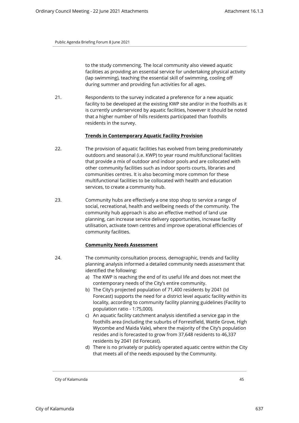to the study commencing. The local community also viewed aquatic facilities as providing an essential service for undertaking physical activity (lap swimming), teaching the essential skill of swimming, cooling off during summer and providing fun activities for all ages.

21. Respondents to the survey indicated a preference for a new aquatic facility to be developed at the existing KWP site and/or in the foothills as it is currently underserviced by aquatic facilities, however it should be noted that a higher number of hills residents participated than foothills residents in the survey.

## **Trends in Contemporary Aquatic Facility Provision**

- 22. The provision of aquatic facilities has evolved from being predominately outdoors and seasonal (i.e. KWP) to year round multifunctional facilities that provide a mix of outdoor and indoor pools and are collocated with other community facilities such as indoor sports courts, libraries and communities centres. It is also becoming more common for these multifunctional facilities to be collocated with health and education services, to create a community hub.
- 23. Community hubs are effectively a one stop shop to service a range of social, recreational, health and wellbeing needs of the community. The community hub approach is also an effective method of land use planning, can increase service delivery opportunities, increase facility utilisation, activate town centres and improve operational efficiencies of community facilities.

# **Community Needs Assessment**

- 24. The community consultation process, demographic, trends and facility planning analysis informed a detailed community needs assessment that identified the following:
	- a) The KWP is reaching the end of its useful life and does not meet the contemporary needs of the City's entire community.
	- b) The City's projected population of 71,400 residents by 2041 (Id Forecast) supports the need for a district level aquatic facility within its locality, according to community facility planning guidelines (Facility to population ratio - 1:75,000).
	- c) An aquatic facility catchment analysis identified a service gap in the foothills area (including the suburbs of Forrestfield, Wattle Grove, High Wycombe and Maida Vale), where the majority of the City's population resides and is forecasted to grow from 37,648 residents to 46,337 residents by 2041 (Id Forecast).
	- d) There is no privately or publicly operated aquatic centre within the City that meets all of the needs espoused by the Community.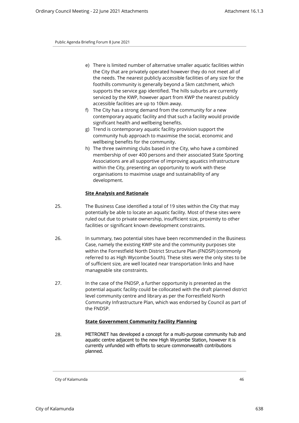- e) There is limited number of alternative smaller aquatic facilities within the City that are privately operated however they do not meet all of the needs. The nearest publicly accessible facilities of any size for the foothills community is generally beyond a 5km catchment, which supports the service gap identified. The hills suburbs are currently serviced by the KWP, however apart from KWP the nearest publicly accessible facilities are up to 10km away.
- f) The City has a strong demand from the community for a new contemporary aquatic facility and that such a facility would provide significant health and wellbeing benefits.
- g) Trend is contemporary aquatic facility provision support the community hub approach to maximise the social, economic and wellbeing benefits for the community.
- h) The three swimming clubs based in the City, who have a combined membership of over 400 persons and their associated State Sporting Associations are all supportive of improving aquatics infrastructure within the City, presenting an opportunity to work with these organisations to maximise usage and sustainability of any development.

# **Site Analysis and Rationale**

- 25. The Business Case identified a total of 19 sites within the City that may potentially be able to locate an aquatic facility. Most of these sites were ruled out due to private ownership, insufficient size, proximity to other facilities or significant known development constraints.
- 26. In summary, two potential sites have been recommended in the Business Case, namely the existing KWP site and the community purposes site within the Forrestfield North District Structure Plan (FNDSP) (commonly referred to as High Wycombe South). These sites were the only sites to be of sufficient size, are well located near transportation links and have manageable site constraints.
- 27. In the case of the FNDSP, a further opportunity is presented as the potential aquatic facility could be collocated with the draft planned district level community centre and library as per the Forrestfield North Community Infrastructure Plan, which was endorsed by Council as part of the FNDSP.

# **State Government Community Facility Planning**

28. METRONET has developed a concept for a multi-purpose community hub and aquatic centre adjacent to the new High Wycombe Station, however it is currently unfunded with efforts to secure commonwealth contributions planned.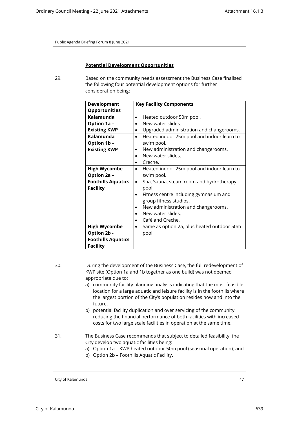## **Potential Development Opportunities**

29. Based on the community needs assessment the Business Case finalised the following four potential development options for further consideration being:

| Development               | <b>Key Facility Components</b>                          |
|---------------------------|---------------------------------------------------------|
| <b>Opportunities</b>      |                                                         |
| Kalamunda                 | Heated outdoor 50m pool.<br>$\bullet$                   |
| Option 1a -               | New water slides.<br>٠                                  |
| <b>Existing KWP</b>       | Upgraded administration and changerooms.<br>٠           |
| Kalamunda                 | Heated indoor 25m pool and indoor learn to<br>$\bullet$ |
| Option 1b -               | swim pool.                                              |
| <b>Existing KWP</b>       | New administration and changerooms.<br>$\bullet$        |
|                           | New water slides.<br>$\bullet$                          |
|                           | Creche.                                                 |
| <b>High Wycombe</b>       | Heated indoor 25m pool and indoor learn to<br>$\bullet$ |
| Option 2a -               | swim pool.                                              |
| <b>Foothills Aquatics</b> | Spa, Sauna, steam room and hydrotherapy<br>٠            |
| <b>Facility</b>           | pool.                                                   |
|                           | Fitness centre including gymnasium and                  |
|                           | group fitness studios.                                  |
|                           | New administration and changerooms.                     |
|                           | New water slides.<br>$\bullet$                          |
|                           | Café and Creche.<br>٠                                   |
| <b>High Wycombe</b>       | Same as option 2a, plus heated outdoor 50m<br>$\bullet$ |
| Option 2b -               | pool.                                                   |
| <b>Foothills Aquatics</b> |                                                         |
| <b>Facility</b>           |                                                         |

- 30. During the development of the Business Case, the full redevelopment of KWP site (Option 1a and 1b together as one build) was not deemed appropriate due to:
	- a) community facility planning analysis indicating that the most feasible location for a large aquatic and leisure facility is in the foothills where the largest portion of the City's population resides now and into the future.
	- b) potential facility duplication and over servicing of the community reducing the financial performance of both facilities with increased costs for two large scale facilities in operation at the same time.
- 31. The Business Case recommends that subject to detailed feasibility, the City develop two aquatic facilities being:
	- a) Option 1a KWP heated outdoor 50m pool (seasonal operation); and
	- b) Option 2b Foothills Aquatic Facility.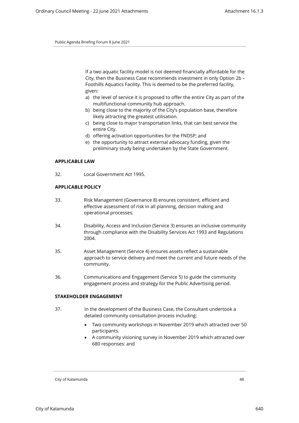If a two aquatic facility model is not deemed financially affordable for the City, then the Business Case recommends investment in only Option 2b – Foothills Aquatics Facility. This is deemed to be the preferred facility, given:

- a) the level of service it is proposed to offer the entire City as part of the multifunctional community hub approach.
- b) being close to the majority of the City's population base, therefore likely attracting the greatest utilisation.
- c) being close to major transportation links, that can best service the entire City.
- d) offering activation opportunities for the FNDSP; and
- e) the opportunity to attract external advocacy funding, given the preliminary study being undertaken by the State Government.

## **APPLICABLE LAW**

32. Local Government Act 1995.

# **APPLICABLE POLICY**

- 33. Risk Management (Governance 8) ensures consistent, efficient and effective assessment of risk in all planning, decision making and operational processes.
- 34. Disability, Access and Inclusion (Service 3) ensures an inclusive community through compliance with the Disability Services Act 1993 and Regulations 2004.
- 35. Asset Management (Service 4) ensures assets reflect a sustainable approach to service delivery and meet the current and future needs of the community.
- 36. Communications and Engagement (Service 5) to guide the community engagement process and strategy for the Public Advertising period.

## **STAKEHOLDER ENGAGEMENT**

- 37. In the development of the Business Case, the Consultant undertook a detailed community consultation process including:
	- Two community workshops in November 2019 which attracted over 50 participants.
	- A community visioning survey in November 2019 which attracted over 680 responses: and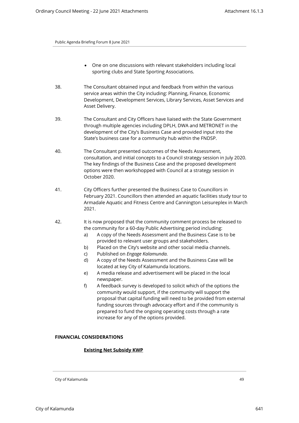- One on one discussions with relevant stakeholders including local sporting clubs and State Sporting Associations.
- 38. The Consultant obtained input and feedback from within the various service areas within the City including: Planning, Finance, Economic Development, Development Services, Library Services, Asset Services and Asset Delivery.
- 39. The Consultant and City Officers have liaised with the State Government through multiple agencies including DPLH, DWA and METRONET in the development of the City's Business Case and provided input into the State's business case for a community hub within the FNDSP.
- 40. The Consultant presented outcomes of the Needs Assessment, consultation, and initial concepts to a Council strategy session in July 2020. The key findings of the Business Case and the proposed development options were then workshopped with Council at a strategy session in October 2020.
- 41. City Officers further presented the Business Case to Councillors in February 2021. Councillors then attended an aquatic facilities study tour to Armadale Aquatic and Fitness Centre and Cannington Leisureplex in March 2021.
- 42. It is now proposed that the community comment process be released to the community for a 60-day Public Advertising period including:
	- a) A copy of the Needs Assessment and the Business Case is to be provided to relevant user groups and stakeholders.
	- b) Placed on the City's website and other social media channels.
	- c) Published on *Engage Kalamunda.*
	- d) A copy of the Needs Assessment and the Business Case will be located at key City of Kalamunda locations.
	- e) A media release and advertisement will be placed in the local newspaper.
	- f) A feedback survey is developed to solicit which of the options the community would support, if the community will support the proposal that capital funding will need to be provided from external funding sources through advocacy effort and if the community is prepared to fund the ongoing operating costs through a rate increase for any of the options provided.

## **FINANCIAL CONSIDERATIONS**

# **Existing Net Subsidy KWP**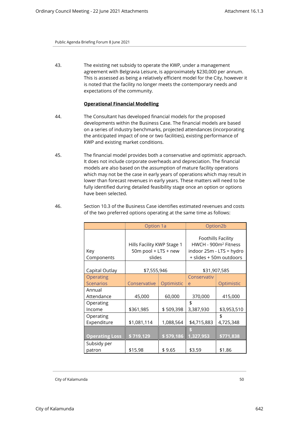43. The existing net subsidy to operate the KWP, under a management agreement with Belgravia Leisure, is approximately \$230,000 per annum. This is assessed as being a relatively efficient model for the City, however it is noted that the facility no longer meets the contemporary needs and expectations of the community.

## **Operational Financial Modelling**

- 44. The Consultant has developed financial models for the proposed developments within the Business Case. The financial models are based on a series of industry benchmarks, projected attendances (incorporating the anticipated impact of one or two facilities), existing performance of KWP and existing market conditions.
- 45. The financial model provides both a conservative and optimistic approach. It does not include corporate overheads and depreciation. The financial models are also based on the assumption of mature facility operations which may not be the case in early years of operations which may result in lower than forecast revenues in early years. These matters will need to be fully identified during detailed feasibility stage once an option or options have been selected.
- 46. Section 10.3 of the Business Case identifies estimated revenues and costs of the two preferred options operating at the same time as follows:

|                               | Option 1a                                                    |            | Option2b                                                                                                      |                 |
|-------------------------------|--------------------------------------------------------------|------------|---------------------------------------------------------------------------------------------------------------|-----------------|
| Key<br>Components             | Hills Facility KWP Stage 1<br>50m pool + LTS + new<br>slides |            | Foothills Facility<br>HWCH - 900m <sup>2</sup> Fitness<br>indoor 25m - LTS = hydro<br>+ slides + 50m outdoors |                 |
| Capital Outlay                | \$7,555,946                                                  |            | \$31,907,585                                                                                                  |                 |
| Operating<br><b>Scenarios</b> | Conservative                                                 | Optimistic | Conservativ<br>e                                                                                              | Optimistic      |
| Annual<br>Attendance          | 45,000                                                       | 60,000     | 370,000                                                                                                       | 415,000         |
| Operating<br>Income           | \$361,985                                                    | \$509,398  | \$<br>3,387,930                                                                                               | \$3,953,510     |
| Operating<br>Expenditure      | \$1,081,114                                                  | 1,088,564  | \$4,715,883                                                                                                   | \$<br>4,725,348 |
| <b>Operating Loss</b>         | \$719,129                                                    | \$579,186  | 1,327,953                                                                                                     | \$771,838       |
| Subsidy per<br>patron         | \$15.98                                                      | \$9.65     | \$3.59                                                                                                        | \$1.86          |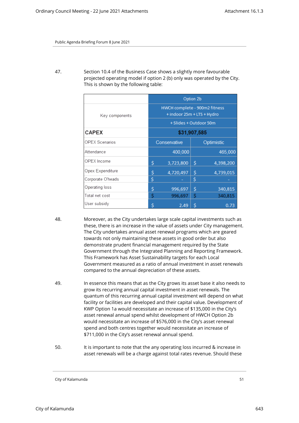47. Section 10.4 of the Business Case shows a slightly more favourable projected operating model if option 2 (b) only was operated by the City. This is shown by the following table:

|                       | Option 2b                  |                                                             |    |           |
|-----------------------|----------------------------|-------------------------------------------------------------|----|-----------|
| Key components        |                            | HWCH complete - 900m2 fitness<br>+ indoor 25m + LTS + Hydro |    |           |
|                       |                            | + Slides + Outdoor 50m                                      |    |           |
| <b>CAPEX</b>          | \$31,907,585               |                                                             |    |           |
| <b>OPEX Scenarios</b> | Conservative<br>Optimistic |                                                             |    |           |
| Attendance            |                            | 400,000                                                     |    | 465,000   |
| OPEX Income           | Ś                          | 3,723,800                                                   | \$ | 4,398,200 |
| Opex Expenditure      | \$                         | 4,720,497                                                   | Ś  | 4,739,015 |
| Corporate O'heads     | \$                         |                                                             | \$ |           |
| Operating loss        | \$                         | 996,697                                                     | \$ | 340,815   |
| Total net cost        | \$                         | 996,697                                                     | \$ | 340,815   |
| User subsidy          | Ś                          | 2.49                                                        | \$ | 0.73      |

- 48. Moreover, as the City undertakes large scale capital investments such as these, there is an increase in the value of assets under City management. The City undertakes annual asset renewal programs which are geared towards not only maintaining these assets in good order but also demonstrate prudent financial management required by the State Government through the Integrated Planning and Reporting Framework. This Framework has Asset Sustainability targets for each Local Government measured as a ratio of annual investment in asset renewals compared to the annual depreciation of these assets.
- 49. In essence this means that as the City grows its asset base it also needs to grow its recurring annual capital investment in asset renewals. The quantum of this recurring annual capital investment will depend on what facility or facilities are developed and their capital value. Development of KWP Option 1a would necessitate an increase of \$135,000 in the City's asset renewal annual spend whilst development of HWCH Option 2b would necessitate an increase of \$576,000 in the City's asset renewal spend and both centres together would necessitate an increase of \$711,000 in the City's asset renewal annual spend.
- 50. It is important to note that the any operating loss incurred & increase in asset renewals will be a charge against total rates revenue. Should these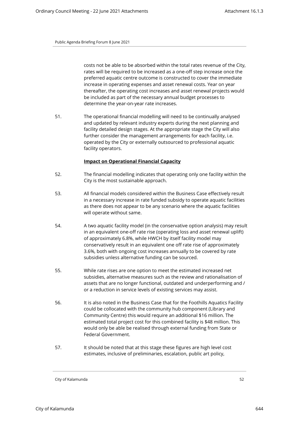costs not be able to be absorbed within the total rates revenue of the City, rates will be required to be increased as a one-off step increase once the preferred aquatic centre outcome is constructed to cover the immediate increase in operating expenses and asset renewal costs. Year on year thereafter, the operating cost increases and asset renewal projects would be included as part of the necessary annual budget processes to determine the year-on-year rate increases.

51. The operational financial modelling will need to be continually analysed and updated by relevant industry experts during the next planning and facility detailed design stages. At the appropriate stage the City will also further consider the management arrangements for each facility, i.e. operated by the City or externally outsourced to professional aquatic facility operators.

## **Impact on Operational Financial Capacity**

- 52. The financial modelling indicates that operating only one facility within the City is the most sustainable approach.
- 53. All financial models considered within the Business Case effectively result in a necessary increase in rate funded subsidy to operate aquatic facilities as there does not appear to be any scenario where the aquatic facilities will operate without same.
- 54. A two aquatic facility model (in the conservative option analysis) may result in an equivalent one-off rate rise (operating loss and asset renewal uplift) of approximately 6.8%, while HWCH by itself facility model may conservatively result in an equivalent one off rate rise of approximately 3.6%, both with ongoing cost increases annually to be covered by rate subsidies unless alternative funding can be sourced.
- 55. While rate rises are one option to meet the estimated increased net subsidies, alternative measures such as the review and rationalisation of assets that are no longer functional, outdated and underperforming and / or a reduction in service levels of existing services may assist.
- 56. It is also noted in the Business Case that for the Foothills Aquatics Facility could be collocated with the community hub component (Library and Community Centre) this would require an additional \$16 million. The estimated total project cost for this combined facility is \$48 million. This would only be able be realised through external funding from State or Federal Government.
- 57. It should be noted that at this stage these figures are high level cost estimates, inclusive of preliminaries, escalation, public art policy,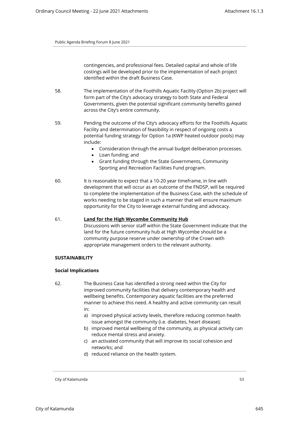contingencies, and professional fees. Detailed capital and whole of life costings will be developed prior to the implementation of each project identified within the draft Business Case.

- 58. The implementation of the Foothills Aquatic Facility (Option 2b) project will form part of the City's advocacy strategy to both State and Federal Governments, given the potential significant community benefits gained across the City's entire community.
- 59. Pending the outcome of the City's advocacy efforts for the Foothills Aquatic Facility and determination of feasibility in respect of ongoing costs a potential funding strategy for Option 1a (KWP heated outdoor pools) may include:
	- Consideration through the annual budget deliberation processes.
	- Loan funding; and
	- Grant funding through the State Governments, Community Sporting and Recreation Facilities Fund program.
- 60. It is reasonable to expect that a 10-20 year timeframe, in line with development that will occur as an outcome of the FNDSP, will be required to complete the implementation of the Business Case, with the schedule of works needing to be staged in such a manner that will ensure maximum opportunity for the City to leverage external funding and advocacy.
- 61. **Land for the High Wycombe Community Hub**  Discussions with senior staff within the State Government indicate that the land for the future community hub at High Wycombe should be a community purpose reserve under ownership of the Crown with

## appropriate management orders to the relevant authority.

## **SUSTAINABILITY**

# **Social Implications**

- 62. The Business Case has identified a strong need within the City for improved community facilities that delivery contemporary health and wellbeing benefits. Contemporary aquatic facilities are the preferred manner to achieve this need. A healthy and active community can result in:
	- a) improved physical activity levels, therefore reducing common health issue amongst the community (i.e. diabetes, heart disease);
	- b) improved mental wellbeing of the community, as physical activity can reduce mental stress and anxiety.
	- c) an activated community that will improve its social cohesion and networks; and
	- d) reduced reliance on the health system.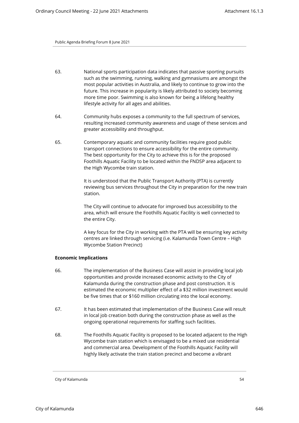- 63. National sports participation data indicates that passive sporting pursuits such as the swimming, running, walking and gymnasiums are amongst the most popular activities in Australia, and likely to continue to grow into the future. This increase in popularity is likely attributed to society becoming more time poor. Swimming is also known for being a lifelong healthy lifestyle activity for all ages and abilities.
- 64. Community hubs exposes a community to the full spectrum of services, resulting increased community awareness and usage of these services and greater accessibility and throughput.
- 65. Contemporary aquatic and community facilities require good public transport connections to ensure accessibility for the entire community. The best opportunity for the City to achieve this is for the proposed Foothills Aquatic Facility to be located within the FNDSP area adjacent to the High Wycombe train station.

It is understood that the Public Transport Authority (PTA) is currently reviewing bus services throughout the City in preparation for the new train station.

The City will continue to advocate for improved bus accessibility to the area, which will ensure the Foothills Aquatic Facility is well connected to the entire City.

A key focus for the City in working with the PTA will be ensuring key activity centres are linked through servicing (i.e. Kalamunda Town Centre – High Wycombe Station Precinct)

# **Economic Implications**

- 66. The implementation of the Business Case will assist in providing local job opportunities and provide increased economic activity to the City of Kalamunda during the construction phase and post construction. It is estimated the economic multiplier effect of a \$32 million investment would be five times that or \$160 million circulating into the local economy.
- 67. It has been estimated that implementation of the Business Case will result in local job creation both during the construction phase as well as the ongoing operational requirements for staffing such facilities.
- 68. The Foothills Aquatic Facility is proposed to be located adjacent to the High Wycombe train station which is envisaged to be a mixed use residential and commercial area. Development of the Foothills Aquatic Facility will highly likely activate the train station precinct and become a vibrant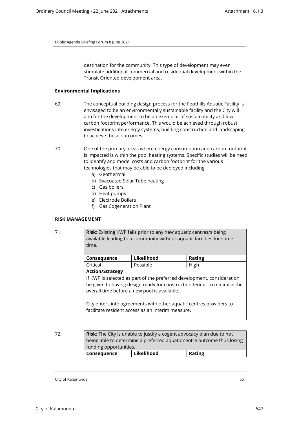destination for the community. This type of development may even stimulate additional commercial and residential development within the Transit Oriented development area.

## **Environmental Implications**

- 69. The conceptual building design process for the Foothills Aquatic Facility is envisaged to be an environmentally sustainable facility and the City will aim for the development to be an exemplar of sustainability and low carbon footprint performance. This would be achieved through robust investigations into energy systems, building construction and landscaping to achieve these outcomes.
- 70. One of the primary areas where energy consumption and carbon footprint is impacted is within the pool heating systems. Specific studies will be need to identify and model costs and carbon footprint for the various technologies that may be able to be deployed including:
	- a) Geothermal
	- b) Evacuated Solar Tube heating
	- c) Gas boilers
	- d) Heat pumps
	- e) Electrode Boilers
	- f) Gas Cogeneration Plant

## **RISK MANAGEMENT**

71. **Risk**: Existing KWP fails prior to any new aquatic centres/s being available leading to a community without aquatic facilities for some time.

| Consequence                                                             | Likelihood                                                             | <b>Rating</b> |  |
|-------------------------------------------------------------------------|------------------------------------------------------------------------|---------------|--|
| Critical                                                                | Possible                                                               | High          |  |
| <b>Action/Strategy</b>                                                  |                                                                        |               |  |
|                                                                         | If KWP is selected as part of the preferred development, consideration |               |  |
| be given to having design ready for construction tender to minimise the |                                                                        |               |  |
| overall time before a new pool is available.                            |                                                                        |               |  |
|                                                                         |                                                                        |               |  |
| City enters into agreements with other aquatic centres providers to     |                                                                        |               |  |
| facilitate resident access as an interim measure.                       |                                                                        |               |  |

| Likelihood<br>Consequence | Rating                                                                       |  |  |  |
|---------------------------|------------------------------------------------------------------------------|--|--|--|
| funding opportunities.    |                                                                              |  |  |  |
|                           | being able to determine a preferred aquatic centre outcome thus losing       |  |  |  |
| 72.                       | <b>Risk:</b> The City is unable to justify a cogent advocacy plan due to not |  |  |  |

City of Kalamunda 55

.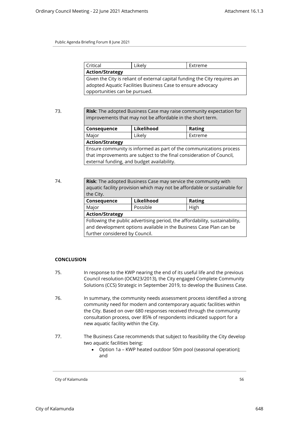| Critical                                                                   | Likely | Extreme |  |
|----------------------------------------------------------------------------|--------|---------|--|
| <b>Action/Strategy</b>                                                     |        |         |  |
| Given the City is reliant of external capital funding the City requires an |        |         |  |
| adopted Aquatic Facilities Business Case to ensure advocacy                |        |         |  |
| opportunities can be pursued.                                              |        |         |  |

73. **Risk**: The adopted Business Case may raise community expectation for improvements that may not be affordable in the short term.

| Consequence                                                          | Likelihood | <b>Rating</b> |  |
|----------------------------------------------------------------------|------------|---------------|--|
| Major                                                                | Likely     | Extreme       |  |
| <b>Action/Strategy</b>                                               |            |               |  |
| Ensure community is informed as part of the communications process   |            |               |  |
| that improvements are subject to the final consideration of Council, |            |               |  |
| external funding, and budget availability.                           |            |               |  |

| 74. | Risk: The adopted Business Case may service the community with<br>aquatic facility provision which may not be affordable or sustainable for<br>the City.                            |          |      |  |
|-----|-------------------------------------------------------------------------------------------------------------------------------------------------------------------------------------|----------|------|--|
|     | Likelihood<br>Consequence<br><b>Rating</b>                                                                                                                                          |          |      |  |
|     | Major                                                                                                                                                                               | Possible | High |  |
|     | <b>Action/Strategy</b>                                                                                                                                                              |          |      |  |
|     | Following the public advertising period, the affordability, sustainability,<br>and development options available in the Business Case Plan can be<br>further considered by Council. |          |      |  |

# **CONCLUSION**

- 75. In response to the KWP nearing the end of its useful life and the previous Council resolution (OCM23/2013), the City engaged Complete Community Solutions (CCS) Strategic in September 2019, to develop the Business Case.
- 76. In summary, the community needs assessment process identified a strong community need for modern and contemporary aquatic facilities within the City. Based on over 680 responses received through the community consultation process, over 85% of respondents indicated support for a new aquatic facility within the City.
- 77. The Business Case recommends that subject to feasibility the City develop two aquatic facilities being:
	- Option 1a KWP heated outdoor 50m pool (seasonal operation); and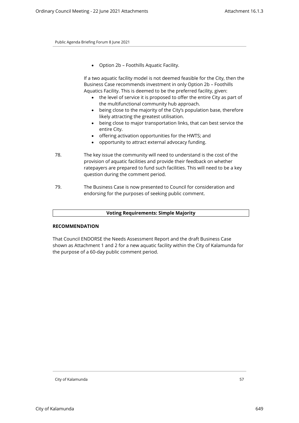Option 2b – Foothills Aquatic Facility.

If a two aquatic facility model is not deemed feasible for the City, then the Business Case recommends investment in only Option 2b – Foothills Aquatics Facility. This is deemed to be the preferred facility, given:

- the level of service it is proposed to offer the entire City as part of the multifunctional community hub approach.
- being close to the majority of the City's population base, therefore likely attracting the greatest utilisation.
- being close to major transportation links, that can best service the entire City.
- offering activation opportunities for the HWTS; and
- opportunity to attract external advocacy funding.
- 78. The key issue the community will need to understand is the cost of the provision of aquatic facilities and provide their feedback on whether ratepayers are prepared to fund such facilities. This will need to be a key question during the comment period.
- 79. The Business Case is now presented to Council for consideration and endorsing for the purposes of seeking public comment.

## **Voting Requirements: Simple Majority**

## **RECOMMENDATION**

That Council ENDORSE the Needs Assessment Report and the draft Business Case shown as Attachment 1 and 2 for a new aquatic facility within the City of Kalamunda for the purpose of a 60-day public comment period.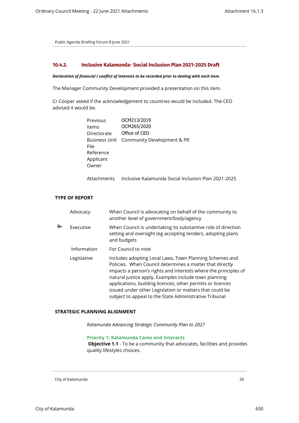## **10.4.2. Inclusive Kalamunda- Social Inclusion Plan 2021-2025 Draft**

#### *Declaration of financial / conflict of interests to be recorded prior to dealing with each item.*

The Manager Community Development provided a presentation on this item.

Cr Cooper asked if the acknowledgement to countries would be included. The CEO advised it would be.

| Previous    | OCM213/2019                              |
|-------------|------------------------------------------|
| ltems       | OCM265/2020                              |
| Directorate | Office of CEO                            |
|             | Business Unit Community Development & PR |
| File        |                                          |
| Reference   |                                          |
| Applicant   |                                          |
| Owner       |                                          |
|             |                                          |

Attachments Inclusive Kalamunda Social Inclusion Plan 2021-2025

## **TYPE OF REPORT**

|   | Advocacy         | When Council is advocating on behalf of the community to<br>another level of government/body/agency                                                                                                                                                                                                                                                                                                                                |
|---|------------------|------------------------------------------------------------------------------------------------------------------------------------------------------------------------------------------------------------------------------------------------------------------------------------------------------------------------------------------------------------------------------------------------------------------------------------|
| ► | <b>Executive</b> | When Council is undertaking its substantive role of direction<br>setting and oversight (eg accepting tenders, adopting plans<br>and budgets                                                                                                                                                                                                                                                                                        |
|   | Information      | For Council to note                                                                                                                                                                                                                                                                                                                                                                                                                |
|   | Legislative      | Includes adopting Local Laws, Town Planning Schemes and<br>Policies. When Council determines a matter that directly<br>impacts a person's rights and interests where the principles of<br>natural justice apply. Examples include town planning<br>applications, building licences, other permits or licences<br>issued under other Legislation or matters that could be<br>subject to appeal to the State Administrative Tribunal |

#### **STRATEGIC PLANNING ALIGNMENT**

*Kalamunda Advancing Strategic Community Plan to 2027*

## **Priority 1: Kalamunda Cares and Interacts**

**Objective 1.1** - To be a community that advocates, facilities and provides quality lifestyles choices.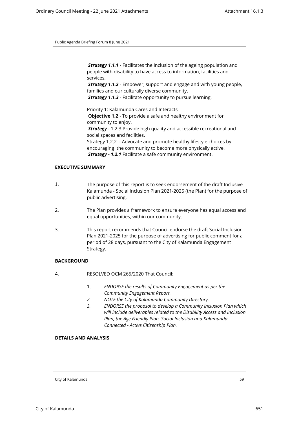**Strategy 1.1.1** - Facilitates the inclusion of the ageing population and people with disability to have access to information, facilities and services.

*Strategy 1.1.2* - Empower, support and engage and with young people, families and our culturally diverse community.

*Strategy 1.1.3* - Facilitate opportunity to pursue learning.

Priority 1: Kalamunda Cares and Interacts **Objective 1.2** - To provide a safe and healthy environment for community to enjoy.

*Strategy* - 1.2.3 Provide high quality and accessible recreational and social spaces and facilities.

Strategy 1.2.2 - Advocate and promote healthy lifestyle choices by encouraging the community to become more physically active. *Strategy - 1.2.1* Facilitate a safe community environment.

## **EXECUTIVE SUMMARY**

- 1. The purpose of this report is to seek endorsement of the draft Inclusive Kalamunda - Social Inclusion Plan 2021-2025 (the Plan) for the purpose of public advertising.
- 2. The Plan provides a framework to ensure everyone has equal access and equal opportunities, within our community.
- 3. This report recommends that Council endorse the draft Social Inclusion Plan 2021-2025 for the purpose of advertising for public comment for a period of 28 days, pursuant to the City of Kalamunda Engagement Strategy.

# **BACKGROUND**

- 4. RESOLVED OCM 265/2020 That Council:
	- 1. *ENDORSE the results of Community Engagement as per the Community Engagement Report.*
	- *2. NOTE the City of Kalamunda Community Directory.*
	- *3. ENDORSE the proposal to develop a Community Inclusion Plan which will include deliverables related to the Disability Access and Inclusion Plan, the Age Friendly Plan, Social Inclusion and Kalamunda Connected - Active Citizenship Plan.*

## **DETAILS AND ANALYSIS**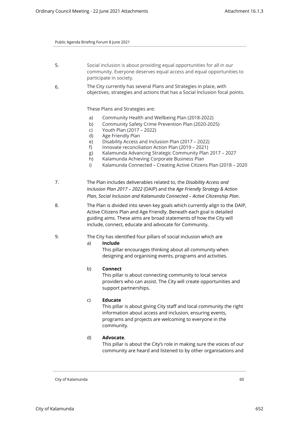- 5. Social inclusion is about providing equal opportunities for all in our community. Everyone deserves equal access and equal opportunities to participate in society.
- 6. The City currently has several Plans and Strategies in place, with objectives, strategies and actions that has a Social Inclusion focal points.

These Plans and Strategies are:

- a) Community Health and Wellbeing Plan (2018-2022)
- b) Community Safety Crime Prevention Plan (2020-2025)
- c) Youth Plan (2017 2022)
- d) Age Friendly Plan
- e) Disability Access and Inclusion Plan (2017 2022)
- f) Innovate reconciliation Action Plan (2019 2021)
- g) Kalamunda Advancing Strategic Community Plan 2017 2027
- h) Kalamunda Achieving Corporate Business Plan
- i) Kalamunda Connected Creating Active Citizens Plan (2018 2020
- 7. The Plan includes deliverables related to, the *Disability Access and Inclusion Plan 2017 – 2022* (DAIP) and the *Age Friendly Strategy & Action Plan, Social Inclusion and Kalamunda Connected – Active Citizenship Plan*.
- 8. The Plan is divided into seven key goals which currently align to the DAIP, Active Citizens Plan and Age Friendly. Beneath each goal is detailed guiding aims. These aims are broad statements of how the City will include, connect, educate and advocate for Community.
- 9. The City has identified four pillars of social inclusion which are
	- a) **Include**
		- This pillar encourages thinking about all community when designing and organising events, programs and activities.
	- b) **Connect**

This pillar is about connecting community to local service providers who can assist. The City will create opportunities and support partnerships.

c) **Educate**

This pillar is about giving City staff and local community the right information about access and inclusion, ensuring events, programs and projects are welcoming to everyone in the community.

# d) **Advocate**.

This pillar is about the City's role in making sure the voices of our community are heard and listened to by other organisations and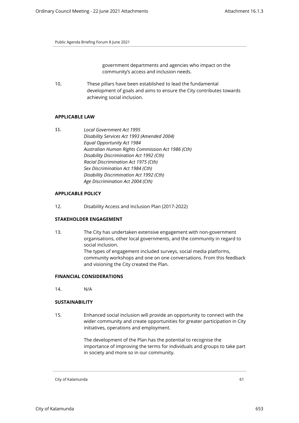government departments and agencies who impact on the community's access and inclusion needs.

10. These pillars have been established to lead the fundamental development of goals and aims to ensure the City contributes towards achieving social inclusion.

## **APPLICABLE LAW**

11. *Local Government Act 1995 Disability Services Act 1993 (Amended 2004) Equal Opportunity Act 1984 Australian Human Rights Commission Act 1986 (Cth) Disability Discrimination Act 1992 (Cth) Racial Discrimination Act 1975 (Cth) Sex Discrimination Act 1984 (Cth) Disability Discrimination Act 1992 (Cth) Age Discrimination Act 2004 (Cth)*

#### **APPLICABLE POLICY**

12. Disability Access and Inclusion Plan (2017-2022)

## **STAKEHOLDER ENGAGEMENT**

13. The City has undertaken extensive engagement with non-government organisations, other local governments, and the community in regard to social inclusion. The types of engagement included surveys, social media platforms, community workshops and one on one conversations. From this feedback and visioning the City created the Plan.

## **FINANCIAL CONSIDERATIONS**

14. N/A

#### **SUSTAINABILITY**

15. Enhanced social inclusion will provide an opportunity to connect with the wider community and create opportunities for greater participation in City initiatives, operations and employment.

> The development of the Plan has the potential to recognise the importance of improving the terms for individuals and groups to take part in society and more so in our community.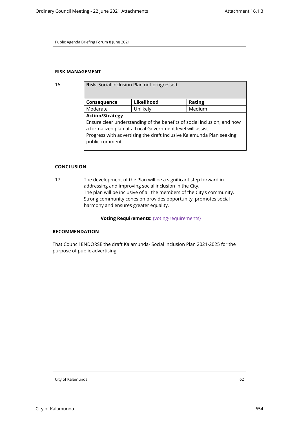## **RISK MANAGEMENT**

16. **Risk**: Social Inclusion Plan not progressed.

| Consequence                                                             | Likelihood | Rating |  |  |
|-------------------------------------------------------------------------|------------|--------|--|--|
| Moderate                                                                | Unlikely   | Medium |  |  |
| <b>Action/Strategy</b>                                                  |            |        |  |  |
| Ensure clear understanding of the benefits of social inclusion, and how |            |        |  |  |
| a formalized plan at a Local Government level will assist.              |            |        |  |  |
| Progress with advertising the draft Inclusive Kalamunda Plan seeking    |            |        |  |  |
| public comment.                                                         |            |        |  |  |
|                                                                         |            |        |  |  |

## **CONCLUSION**

17. The development of the Plan will be a significant step forward in addressing and improving social inclusion in the City. The plan will be inclusive of all the members of the City's community. Strong community cohesion provides opportunity, promotes social harmony and ensures greater equality.

**Voting Requirements:** {voting-requirements}

## **RECOMMENDATION**

That Council ENDORSE the draft Kalamunda- Social Inclusion Plan 2021-2025 for the purpose of public advertising.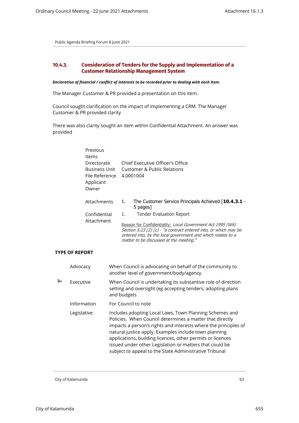# **10.4.3. Consideration of Tenders for the Supply and Implementation of a Customer Relationship Management System**

*Declaration of financial / conflict of interests to be recorded prior to dealing with each item.*

The Manager Customer & PR provided a presentation on this item.

Council sought clarification on the impact of implementing a CRM. The Manager Customer & PR provided clarity

There was also clarity sought an item within Confidential Attachment. An answer was provided

| Previous<br>ltems<br>Directorate<br>Business Unit<br>File Reference<br>Applicant<br>Owner | Chief Executive Officer's Office<br>Customer & Public Relations<br>4.0001004                                                                                                                                                              |  |  |  |
|-------------------------------------------------------------------------------------------|-------------------------------------------------------------------------------------------------------------------------------------------------------------------------------------------------------------------------------------------|--|--|--|
| Attachments                                                                               | The Customer Service Principals Achieved [10.4.3.1 -<br>1.<br>5 pages]                                                                                                                                                                    |  |  |  |
| Confidential<br>Attachment                                                                | <b>Tender Evaluation Report</b><br>1.                                                                                                                                                                                                     |  |  |  |
|                                                                                           | Reason for Confidentiality: Local Government Act 1995 (WA)<br>Section 5.23 (2) (c) - "a contract entered into, or which may be<br>entered into, by the local government and which relates to a<br>matter to be discussed at the meeting." |  |  |  |

## **TYPE OF REPORT**

|   | Advocacy         | When Council is advocating on behalf of the community to<br>another level of government/body/agency                                                                                                                                                                                                                                                                                                                                |
|---|------------------|------------------------------------------------------------------------------------------------------------------------------------------------------------------------------------------------------------------------------------------------------------------------------------------------------------------------------------------------------------------------------------------------------------------------------------|
| K | <b>Executive</b> | When Council is undertaking its substantive role of direction<br>setting and oversight (eg accepting tenders, adopting plans<br>and budgets                                                                                                                                                                                                                                                                                        |
|   | Information      | For Council to note                                                                                                                                                                                                                                                                                                                                                                                                                |
|   | Legislative      | Includes adopting Local Laws, Town Planning Schemes and<br>Policies. When Council determines a matter that directly<br>impacts a person's rights and interests where the principles of<br>natural justice apply. Examples include town planning<br>applications, building licences, other permits or licences<br>issued under other Legislation or matters that could be<br>subject to appeal to the State Administrative Tribunal |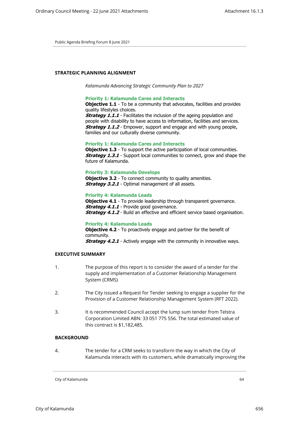## **STRATEGIC PLANNING ALIGNMENT**

*Kalamunda Advancing Strategic Community Plan to 2027*

#### **Priority 1: Kalamunda Cares and Interacts**

**Objective 1.1** - To be a community that advocates, facilities and provides quality lifestyles choices.

**Strategy 1.1.1** - Facilitates the inclusion of the ageing population and people with disability to have access to information, facilities and services. *Strategy 1.1.2* - Empower, support and engage and with young people, families and our culturally diverse community.

## **Priority 1: Kalamunda Cares and Interacts**

**Objective 1.3** - To support the active participation of local communities. **Strategy 1.3.1** - Support local communities to connect, grow and shape the future of Kalamunda.

#### **Priority 3: Kalamunda Develops**

**Objective 3.2** - To connect community to quality amenities. **Strategy 3.2.1** - Optimal management of all assets.

#### **Priority 4: Kalamunda Leads**

**Objective 4.1** - To provide leadership through transparent governance. **Strategy 4.1.1** - Provide good governance. **Strategy 4.1.2** - Build an effective and efficient service based organisation.

#### **Priority 4: Kalamunda Leads**

**Objective 4.2** - To proactively engage and partner for the benefit of community.

**Strategy 4.2.1** - Actively engage with the community in innovative ways.

## **EXECUTIVE SUMMARY**

- 1. The purpose of this report is to consider the award of a tender for the supply and implementation of a Customer Relationship Management System (CRMS)
- 2. The City issued a Request for Tender seeking to engage a supplier for the Provision of a Customer Relationship Management System (RFT 2022).
- 3. It is recommended Council accept the lump sum tender from Telstra Corporation Limited ABN: 33 051 775 556. The total estimated value of this contract is \$1,182,485.

# **BACKGROUND**

4. The tender for a CRM seeks to transform the way in which the City of Kalamunda interacts with its customers, while dramatically improving the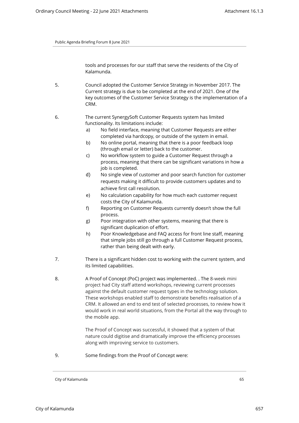tools and processes for our staff that serve the residents of the City of Kalamunda.

- 5. Council adopted the Customer Service Strategy in November 2017. The Current strategy is due to be completed at the end of 2021. One of the key outcomes of the Customer Service Strategy is the implementation of a CRM.
- 6. The current SynergySoft Customer Requests system has limited functionality. Its limitations include:
	- a) No field interface, meaning that Customer Requests are either completed via hardcopy, or outside of the system in email.
	- b) No online portal, meaning that there is a poor feedback loop (through email or letter) back to the customer.
	- c) No workflow system to guide a Customer Request through a process, meaning that there can be significant variations in how a job is completed.
	- d) No single view of customer and poor search function for customer requests making it difficult to provide customers updates and to achieve first call resolution.
	- e) No calculation capability for how much each customer request costs the City of Kalamunda.
	- f) Reporting on Customer Requests currently doesn't show the full process.
	- g) Poor integration with other systems, meaning that there is significant duplication of effort.
	- h) Poor Knowledgebase and FAQ access for front line staff, meaning that simple jobs still go through a full Customer Request process, rather than being dealt with early.
- 7. There is a significant hidden cost to working with the current system, and its limited capabilities.
- 8. A Proof of Concept (PoC) project was implemented. . The 8-week mini project had City staff attend workshops, reviewing current processes against the default customer request types in the technology solution. These workshops enabled staff to demonstrate benefits realisation of a CRM. It allowed an end to end test of selected processes, to review how it would work in real world situations, from the Portal all the way through to the mobile app.

The Proof of Concept was successful, it showed that a system of that nature could digitise and dramatically improve the efficiency processes along with improving service to customers.

9. Some findings from the Proof of Concept were: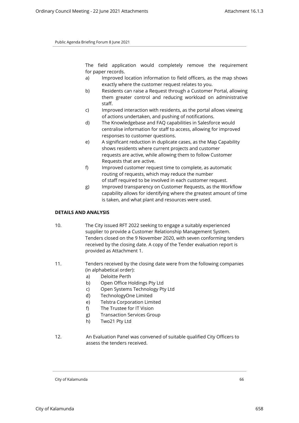The field application would completely remove the requirement for paper records.

- a) Improved location information to field officers, as the map shows exactly where the customer request relates to you.
- b) Residents can raise a Request through a Customer Portal, allowing them greater control and reducing workload on administrative staff.
- c) Improved interaction with residents, as the portal allows viewing of actions undertaken, and pushing of notifications.
- d) The Knowledgebase and FAQ capabilities in Salesforce would centralise information for staff to access, allowing for improved responses to customer questions.
- e) A significant reduction in duplicate cases, as the Map Capability shows residents where current projects and customer requests are active, while allowing them to follow Customer Requests that are active.
- f) Improved customer request time to complete, as automatic routing of requests, which may reduce the number of staff required to be involved in each customer request.
- g) Improved transparency on Customer Requests, as the Workflow capability allows for identifying where the greatest amount of time is taken, and what plant and resources were used.

## **DETAILS AND ANALYSIS**

- 10. The City issued RFT 2022 seeking to engage a suitably experienced supplier to provide a Customer Relationship Management System. Tenders closed on the 9 November 2020, with seven conforming tenders received by the closing date. A copy of the Tender evaluation report is provided as Attachment 1.
- 11. Tenders received by the closing date were from the following companies (in alphabetical order):
	- a) Deloitte Perth
	- b) Open Office Holdings Pty Ltd
	- c) Open Systems Technology Pty Ltd
	- d) TechnologyOne Limited
	- e) Telstra Corporation Limited
	- f) The Trustee for IT Vision
	- g) Transaction Services Group
	- h) Two21 Pty Ltd
- 12. An Evaluation Panel was convened of suitable qualified City Officers to assess the tenders received.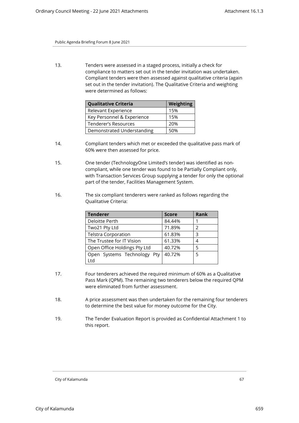13. Tenders were assessed in a staged process, initially a check for compliance to matters set out in the tender invitation was undertaken. Compliant tenders were then assessed against qualitative criteria (again set out in the tender invitation). The Qualitative Criteria and weighting were determined as follows:

| <b>Qualitative Criteria</b> | Weighting |
|-----------------------------|-----------|
| Relevant Experience         | 15%       |
| Key Personnel & Experience  | 15%       |
| Tenderer's Resources        | 20%       |
| Demonstrated Understanding  | 50%       |

- 14. Compliant tenders which met or exceeded the qualitative pass mark of 60% were then assessed for price.
- 15. One tender (TechnologyOne Limited's tender) was identified as noncompliant, while one tender was found to be Partially Compliant only, with Transaction Services Group supplying a tender for only the optional part of the tender, Facilities Management System.
- 16. The six compliant tenderers were ranked as follows regarding the Qualitative Criteria:

| <b>Tenderer</b>              | <b>Score</b> | Rank          |
|------------------------------|--------------|---------------|
| Deloitte Perth               | 84.44%       |               |
| Two21 Pty Ltd                | 71.89%       | $\mathcal{P}$ |
| <b>Telstra Corporation</b>   | 61.83%       | 3             |
| The Trustee for IT Vision    | 61.33%       |               |
| Open Office Holdings Pty Ltd | 40.72%       | 5             |
| Open Systems Technology Pty  | 40.72%       | 5             |
| Ltd                          |              |               |

- 17. Four tenderers achieved the required minimum of 60% as a Qualitative Pass Mark (QPM). The remaining two tenderers below the required QPM were eliminated from further assessment.
- 18. A price assessment was then undertaken for the remaining four tenderers to determine the best value for money outcome for the City.
- 19. The Tender Evaluation Report is provided as Confidential Attachment 1 to this report.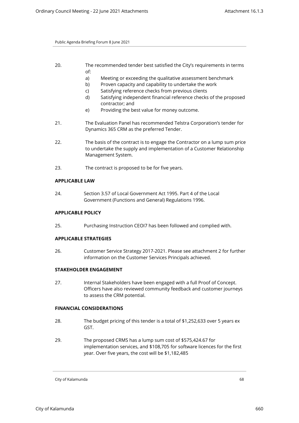- 20. The recommended tender best satisfied the City's requirements in terms of:
	- a) Meeting or exceeding the qualitative assessment benchmark
	- b) Proven capacity and capability to undertake the work
	- c) Satisfying reference checks from previous clients
	- d) Satisfying independent financial reference checks of the proposed contractor; and
	- e) Providing the best value for money outcome.
- 21. The Evaluation Panel has recommended Telstra Corporation's tender for Dynamics 365 CRM as the preferred Tender.
- 22. The basis of the contract is to engage the Contractor on a lump sum price to undertake the supply and implementation of a Customer Relationship Management System.
- 23. The contract is proposed to be for five years.

## **APPLICABLE LAW**

24. Section 3.57 of Local Government Act 1995. Part 4 of the Local Government (Functions and General) Regulations 1996.

## **APPLICABLE POLICY**

25. Purchasing Instruction CEOI7 has been followed and complied with.

# **APPLICABLE STRATEGIES**

26. Customer Service Strategy 2017-2021. Please see attachment 2 for further information on the Customer Services Principals achieved.

## **STAKEHOLDER ENGAGEMENT**

27. Internal Stakeholders have been engaged with a full Proof of Concept. Officers have also reviewed community feedback and customer journeys to assess the CRM potential.

# **FINANCIAL CONSIDERATIONS**

- 28. The budget pricing of this tender is a total of \$1,252,633 over 5 years ex GST.
- 29. The proposed CRMS has a lump sum cost of \$575,424.67 for implementation services, and \$108,705 for software licences for the first year. Over five years, the cost will be \$1,182,485

City of Kalamunda 68 and 200 km in the control of the control of the control of the control of the control of the control of the control of the control of the control of the control of the control of the control of the con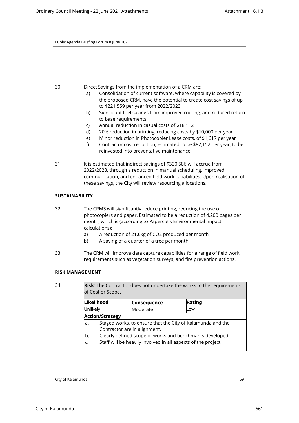- 30. Direct Savings from the implementation of a CRM are:
	- a) Consolidation of current software, where capability is covered by the proposed CRM, have the potential to create cost savings of up to \$221,559 per year from 2022/2023
	- b) Significant fuel savings from improved routing, and reduced return to base requirements
	- c) Annual reduction in casual costs of \$18,112
	- d) 20% reduction in printing, reducing costs by \$10,000 per year
	- e) Minor reduction in Photocopier Lease costs, of \$1,617 per year
	- f) Contractor cost reduction, estimated to be \$82,152 per year, to be reinvested into preventative maintenance.
- 31. It is estimated that indirect savings of \$320,586 will accrue from 2022/2023, through a reduction in manual scheduling, improved communication, and enhanced field work capabilities. Upon realisation of these savings, the City will review resourcing allocations.

## **SUSTAINABILITY**

- 32. The CRMS will significantly reduce printing, reducing the use of photocopiers and paper. Estimated to be a reduction of 4,200 pages per month, which is (according to Papercut's Environmental Impact calculations):
	- a) A reduction of 21.6kg of CO2 produced per month
	- b) A saving of a quarter of a tree per month
- 33. The CRM will improve data capture capabilities for a range of field work requirements such as vegetation surveys, and fire prevention actions.

## **RISK MANAGEMENT**

| 34. | <b>Risk:</b> The Contractor does not undertake the works to the requirements<br>of Cost or Scope. |                              |             |                                                                                                                                                                                        |  |  |  |
|-----|---------------------------------------------------------------------------------------------------|------------------------------|-------------|----------------------------------------------------------------------------------------------------------------------------------------------------------------------------------------|--|--|--|
|     | Likelihood<br>Unlikely                                                                            |                              | Consequence | Rating                                                                                                                                                                                 |  |  |  |
|     |                                                                                                   |                              | Moderate    | Low                                                                                                                                                                                    |  |  |  |
|     |                                                                                                   | <b>Action/Strategy</b>       |             |                                                                                                                                                                                        |  |  |  |
|     | a.<br>b.<br>C.                                                                                    | Contractor are in alignment. |             | Staged works, to ensure that the City of Kalamunda and the<br>Clearly defined scope of works and benchmarks developed.<br>Staff will be heavily involved in all aspects of the project |  |  |  |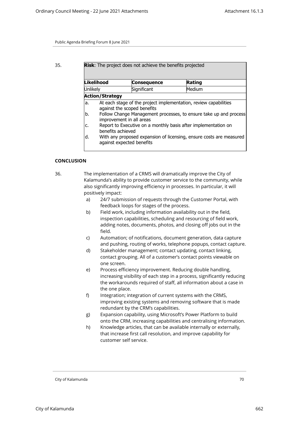|          | Likelihood             | <b>Consequence</b>                                                                                                                                                                             | Rating |
|----------|------------------------|------------------------------------------------------------------------------------------------------------------------------------------------------------------------------------------------|--------|
| Unlikely |                        | Significant                                                                                                                                                                                    | Medium |
|          | <b>Action/Strategy</b> |                                                                                                                                                                                                |        |
| a.<br>b. |                        | At each stage of the project implementation, review capabilities<br>against the scoped benefits<br>Follow Change Management processes, to ensure take up and process                           |        |
| c.<br>d. | benefits achieved      | improvement in all areas<br>Report to Executive on a monthly basis after implementation on<br>With any proposed expansion of licensing, ensure costs are measured<br>against expected benefits |        |

# **CONCLUSION**

36. The implementation of a CRMS will dramatically improve the City of Kalamunda's ability to provide customer service to the community, while also significantly improving efficiency in processes. In particular, it will positively impact:

- a) 24/7 submission of requests through the Customer Portal, with feedback loops for stages of the process.
- b) Field work, including information availability out in the field, inspection capabilities, scheduling and resourcing of field work, adding notes, documents, photos, and closing off jobs out in the field.
- c) Automation; of notifications, document generation, data capture and pushing, routing of works, telephone popups, contact capture.
- d) Stakeholder management; contact updating, contact linking, contact grouping. All of a customer's contact points viewable on one screen.
- e) Process efficiency improvement. Reducing double handling, increasing visibility of each step in a process, significantly reducing the workarounds required of staff, all information about a case in the one place.
- f) Integration; integration of current systems with the CRMS, improving existing systems and removing software that is made redundant by the CRM's capabilities.
- g) Expansion capability, using Microsoft's Power Platform to build onto the CRM, increasing capabilities and centralising information.
- h) Knowledge articles, that can be available internally or externally, that increase first call resolution, and improve capability for customer self service.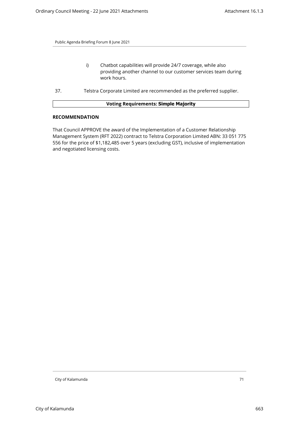- i) Chatbot capabilities will provide 24/7 coverage, while also providing another channel to our customer services team during work hours.
- 37. Telstra Corporate Limited are recommended as the preferred supplier.

## **Voting Requirements: Simple Majority**

#### **RECOMMENDATION**

That Council APPROVE the award of the Implementation of a Customer Relationship Management System (RFT 2022) contract to Telstra Corporation Limited ABN: 33 051 775 556 for the price of \$1,182,485 over 5 years (excluding GST), inclusive of implementation and negotiated licensing costs.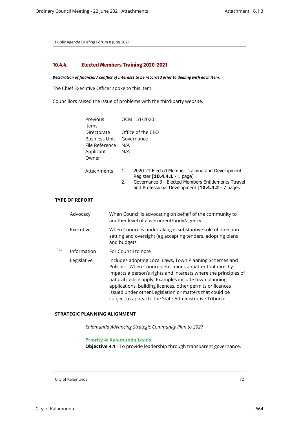## **10.4.4. Elected Members Training 2020-2021**

## *Declaration of financial / conflict of interests to be recorded prior to dealing with each item.*

The Chief Executive Officer spoke to this item.

Councillors raised the issue of problems with the third-party website.

|                       | Previous<br>Items<br>Directorate<br>Business Unit<br>File Reference<br>Applicant<br>Owner<br>Attachments |  | OCM 151/2020 |                                                                                                                                                                                               |  |  |
|-----------------------|----------------------------------------------------------------------------------------------------------|--|--------------|-----------------------------------------------------------------------------------------------------------------------------------------------------------------------------------------------|--|--|
|                       |                                                                                                          |  | N/A<br>N/A   | Office of the CEO<br>Governance                                                                                                                                                               |  |  |
|                       |                                                                                                          |  | 1.<br>2.     | 2020 21 Elected Member Training and Development<br>Register $[10.4.4.1 - 1$ page]<br>Governance 3 - Elected Members Entitlements Ttravel<br>and Professional Development [10.4.4.2 - 7 pages] |  |  |
| <b>TYPE OF REPORT</b> |                                                                                                          |  |              |                                                                                                                                                                                               |  |  |
| Advocacy<br>Executive |                                                                                                          |  |              | When Council is advocating on behalf of the community to<br>another level of government/body/agency                                                                                           |  |  |
|                       |                                                                                                          |  | and budgets  | When Council is undertaking is substantive role of direction<br>setting and oversight (eg accepting tenders, adopting plans                                                                   |  |  |

 $\mathbb{P}$  Information For Council to note

Legislative Includes adopting Local Laws, Town Planning Schemes and Policies. When Council determines a matter that directly impacts a person's rights and interests where the principles of natural justice apply. Examples include town planning applications, building licences, other permits or licences issued under other Legislation or matters that could be subject to appeal to the State Administrative Tribunal

#### **STRATEGIC PLANNING ALIGNMENT**

*Kalamunda Advancing Strategic Community Plan to 2027*

#### **Priority 4: Kalamunda Leads**

**Objective 4.1** - To provide leadership through transparent governance.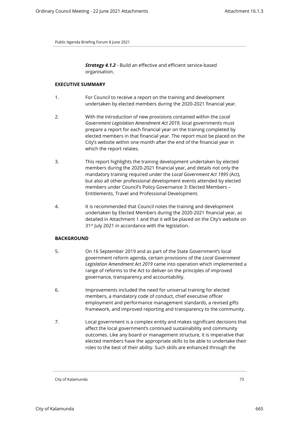*Strategy 4.1.2* - Build an effective and efficient service-based organisation.

#### **EXECUTIVE SUMMARY**

- 1. For Council to receive a report on the training and development undertaken by elected members during the 2020-2021 financial year.
- 2. With the introduction of new provisions contained within the *Local Government Legislation Amendment Act 2019*, local governments must prepare a report for each financial year on the training completed by elected members in that financial year. The report must be placed on the City's website within one month after the end of the financial year in which the report relates.
- 3. This report highlights the training development undertaken by elected members during the 2020-2021 financial year, and details not only the mandatory training required under the *Local Government Act 1995* (Act), but also all other professional development events attended by elected members under Council's Policy Governance 3: Elected Members – Entitlements, Travel and Professional Development.
- 4. It is recommended that Council notes the training and development undertaken by Elected Members during the 2020-2021 financial year, as detailed in Attachment 1 and that it will be placed on the City's website on  $31<sup>st</sup>$  July 2021 in accordance with the legislation.

# **BACKGROUND**

- 5. On 16 September 2019 and as part of the State Government's local government reform agenda, certain provisions of the *Local Government Legislation Amendment Act 2019* came into operation which implemented a range of reforms to the Act to deliver on the principles of improved governance, transparency and accountability.
- 6. Improvements included the need for universal training for elected members, a mandatory code of conduct, chief executive officer employment and performance management standards, a revised gifts framework, and improved reporting and transparency to the community.
- 7. Local government is a complex entity and makes significant decisions that affect the local government's continued sustainability and community outcomes. Like any board or management structure, it is imperative that elected members have the appropriate skills to be able to undertake their roles to the best of their ability. Such skills are enhanced through the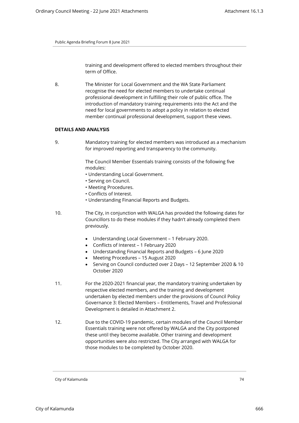training and development offered to elected members throughout their term of Office.

8. The Minister for Local Government and the WA State Parliament recognise the need for elected members to undertake continual professional development in fulfilling their role of public office. The introduction of mandatory training requirements into the Act and the need for local governments to adopt a policy in relation to elected member continual professional development, support these views.

## **DETAILS AND ANALYSIS**

9. Mandatory training for elected members was introduced as a mechanism for improved reporting and transparency to the community.

> The Council Member Essentials training consists of the following five modules:

- Understanding Local Government.
- Serving on Council.
- Meeting Procedures.
- Conflicts of Interest.
- Understanding Financial Reports and Budgets.
- 10. The City, in conjunction with WALGA has provided the following dates for Councillors to do these modules if they hadn't already completed them previously.
	- Understanding Local Government 1 February 2020.
	- Conflicts of Interest 1 February 2020
	- Understanding Financial Reports and Budgets 6 June 2020
	- Meeting Procedures 15 August 2020
	- Serving on Council conducted over 2 Days 12 September 2020 & 10 October 2020
- 11. For the 2020-2021 financial year, the mandatory training undertaken by respective elected members, and the training and development undertaken by elected members under the provisions of Council Policy Governance 3: Elected Members – Entitlements, Travel and Professional Development is detailed in Attachment 2.
- 12. Due to the COVID-19 pandemic, certain modules of the Council Member Essentials training were not offered by WALGA and the City postponed these until they become available. Other training and development opportunities were also restricted. The City arranged with WALGA for those modules to be completed by October 2020.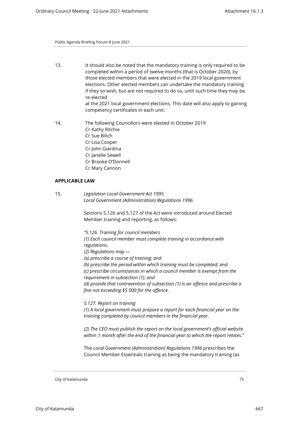- 13. It should also be noted that the mandatory training is only required to be completed within a period of twelve months (that is October 2020), by those elected members that were elected in the 2019 local government elections. Other elected members can undertake the mandatory training if they so wish, but are not required to do so, until such time they may be re-elected at the 2021 local government elections. This date will also apply to gaining competency certificates in each unit.
- 14. The following Councillors were elected in October 2019 Cr Kathy Ritchie Cr Sue Bilich Cr Lisa Cooper Cr John Giardina Cr Janelle Sewell Cr Brooke O'Donnell Cr Mary Cannon

## **APPLICABLE LAW**

15. *Legislation Local Government Act 1995. Local Government (Administration) Regulations 1996.* 

> Sections 5.126 and 5.127 of the Act were introduced around Elected Member training and reporting, as follows:

*"5.126. Training for council members (1) Each council member must complete training in accordance with regulations. (2) Regulations may — (a) prescribe a course of training; and (b) prescribe the period within which training must be completed; and (c) prescribe circumstances in which a council member is exempt from the requirement in subsection (1); and (d) provide that contravention of subsection (1) is an offence and prescribe a fine not exceeding \$5 000 for the offence.*

*5.127. Report on training (1) A local government must prepare a report for each financial year on the training completed by council members in the financial year.*

*(2) The CEO must publish the report on the local government's official website within 1 month after the end of the financial year to which the report relates."*

The *Local Government (Administration) Regulations 1996* prescribes the Council Member Essentials training as being the mandatory training (as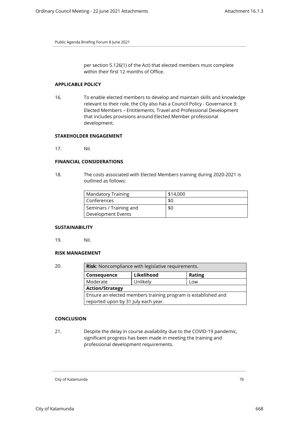per section 5.126(1) of the Act) that elected members must complete within their first 12 months of Office.

#### **APPLICABLE POLICY**

16. To enable elected members to develop and maintain skills and knowledge relevant to their role, the City also has a Council Policy - Governance 3: Elected Members – Entitlements, Travel and Professional Development that includes provisions around Elected Member professional development.

# **STAKEHOLDER ENGAGEMENT**

17. Nil.

## **FINANCIAL CONSIDERATIONS**

18. The costs associated with Elected Members training during 2020-2021 is outlined as follows:

| <b>Mandatory Training</b> | \$14,000 |
|---------------------------|----------|
| Conferences               | \$0      |
| Seminars / Training and   | \$0      |
| Development Events        |          |

#### **SUSTAINABILITY**

19. Nil.

#### **RISK MANAGEMENT**

| 20. | <b>Risk:</b> Noncompliance with legislative requirements.     |            |               |  |
|-----|---------------------------------------------------------------|------------|---------------|--|
|     | Consequence                                                   | Likelihood | <b>Rating</b> |  |
|     | Moderate                                                      | Unlikely   | Low           |  |
|     | <b>Action/Strategy</b>                                        |            |               |  |
|     | Ensure an elected members training program is established and |            |               |  |
|     | reported upon by 31 July each year.                           |            |               |  |

# **CONCLUSION**

21. Despite the delay in course availability due to the COVID-19 pandemic, significant progress has been made in meeting the training and professional development requirements.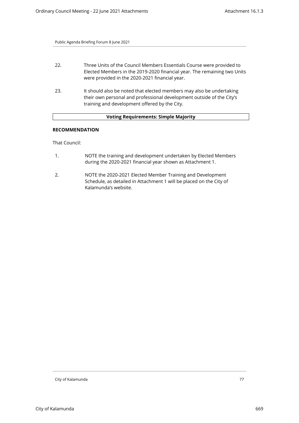| 22. | Three Units of the Council Members Essentials Course were provided to<br>Elected Members in the 2019-2020 financial year. The remaining two Units<br>were provided in the 2020-2021 financial year. |
|-----|-----------------------------------------------------------------------------------------------------------------------------------------------------------------------------------------------------|
| 23. | It should also be noted that elected members may also be undertaking<br>their own personal and professional development outside of the City's                                                       |

# **Voting Requirements: Simple Majority**

training and development offered by the City.

## **RECOMMENDATION**

That Council:

- 1. NOTE the training and development undertaken by Elected Members during the 2020-2021 financial year shown as Attachment 1.
- 2. NOTE the 2020-2021 Elected Member Training and Development Schedule, as detailed in Attachment 1 will be placed on the City of Kalamunda's website.